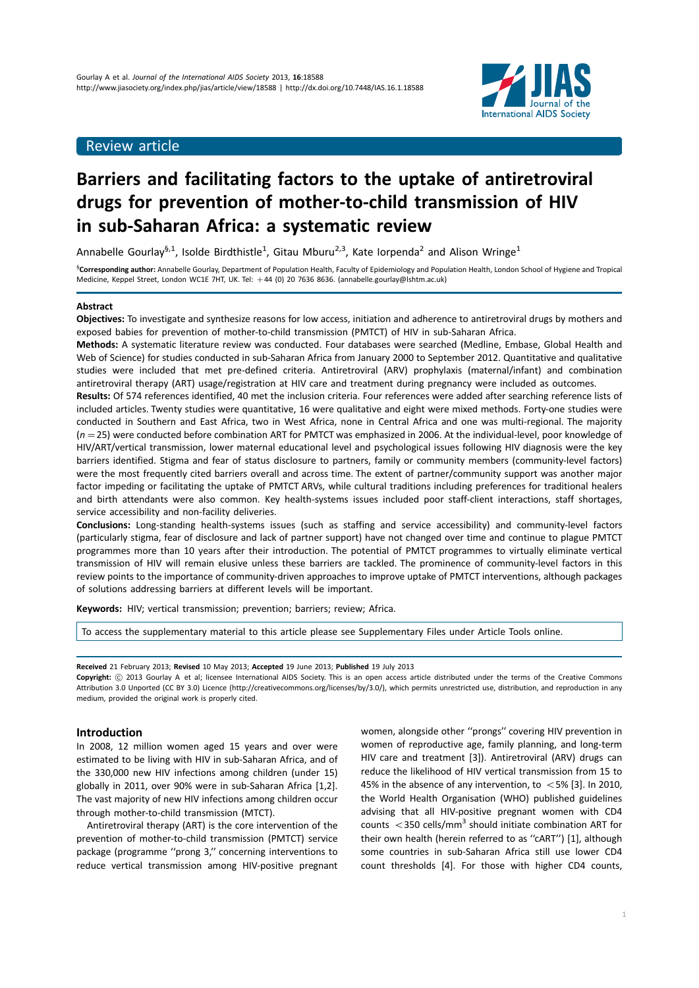# [Review article](http://www.jiasociety.org/index.php/jias/article/view/18588)



# Barriers and facilitating factors to the uptake of antiretroviral drugs for prevention of mother-to-child transmission of HIV in sub-Saharan Africa: a systematic review

Annabelle Gourlay<sup>§,1</sup>, Isolde Birdthistle<sup>1</sup>, Gitau Mburu<sup>2,3</sup>, Kate Iorpenda<sup>2</sup> and Alison Wringe<sup>1</sup>

<sup>§</sup>Corresponding author: Annabelle Gourlay, Department of Population Health, Faculty of Epidemiology and Population Health, London School of Hygiene and Tropical Medicine, Keppel Street, London WC1E 7HT, UK. Tel: +44 (0) 20 7636 8636. (annabelle.gourlay@lshtm.ac.uk)

# Abstract

Objectives: To investigate and synthesize reasons for low access, initiation and adherence to antiretroviral drugs by mothers and exposed babies for prevention of mother-to-child transmission (PMTCT) of HIV in sub-Saharan Africa.

Methods: A systematic literature review was conducted. Four databases were searched (Medline, Embase, Global Health and Web of Science) for studies conducted in sub-Saharan Africa from January 2000 to September 2012. Quantitative and qualitative studies were included that met pre-defined criteria. Antiretroviral (ARV) prophylaxis (maternal/infant) and combination antiretroviral therapy (ART) usage/registration at HIV care and treatment during pregnancy were included as outcomes.

Results: Of 574 references identified, 40 met the inclusion criteria. Four references were added after searching reference lists of included articles. Twenty studies were quantitative, 16 were qualitative and eight were mixed methods. Forty-one studies were conducted in Southern and East Africa, two in West Africa, none in Central Africa and one was multi-regional. The majority  $(n=25)$  were conducted before combination ART for PMTCT was emphasized in 2006. At the individual-level, poor knowledge of HIV/ART/vertical transmission, lower maternal educational level and psychological issues following HIV diagnosis were the key barriers identified. Stigma and fear of status disclosure to partners, family or community members (community-level factors) were the most frequently cited barriers overall and across time. The extent of partner/community support was another major factor impeding or facilitating the uptake of PMTCT ARVs, while cultural traditions including preferences for traditional healers and birth attendants were also common. Key health-systems issues included poor staff-client interactions, staff shortages, service accessibility and non-facility deliveries.

Conclusions: Long-standing health-systems issues (such as staffing and service accessibility) and community-level factors (particularly stigma, fear of disclosure and lack of partner support) have not changed over time and continue to plague PMTCT programmes more than 10 years after their introduction. The potential of PMTCT programmes to virtually eliminate vertical transmission of HIV will remain elusive unless these barriers are tackled. The prominence of community-level factors in this review points to the importance of community-driven approaches to improve uptake of PMTCT interventions, although packages of solutions addressing barriers at different levels will be important.

Keywords: HIV; vertical transmission; prevention; barriers; review; Africa.

To access the supplementary material to this article please see Supplementary Files under Article Tools online.

Received 21 February 2013; Revised 10 May 2013; Accepted 19 June 2013; Published 19 July 2013

Copyright: © 2013 Gourlay A et al; licensee International AIDS Society. This is an open access article distributed under the terms of the Creative Commons A[ttribution 3.0 Unported \(CC BY 3.0\) Licence \(http://creativecommons.org/licenses/by/3.0/\), which permits unrestricted use, distribution, and rep](http://www.jiasociety.org/index.php/jias/rt/suppFiles/18588/0)roduction in any medium, provided the original work is properly cited.

# Introduction

In 2008, 12 million women aged 15 years and over were estimated to be living with HIV in sub-Saharan Africa, and of the 330,000 new HIV infections among children (under 15) globally in 2011, over 90% were in sub-Saharan Africa [1,2]. The vast majority of new HIV infections among children occur through mother-to-child transmission (MTCT).

Antiretroviral therapy (ART) is the core intervention of the prevention of mother-to-child transmission (PMTCT) service package (programme ''prong 3,'' concerning interventions to reduce vertical transmission among HIV-positive pregnant women, alongside other ''prongs'' covering HIV prevention in women of reproductive age, family planning, and long-term HIV care and treatment [3]). Antiretroviral (ARV) drugs can reduce the likelihood of HIV vertical transmission from 15 to 45% in the absence of any intervention, to  $<$  5% [3]. In 2010, the World Health Organisation (WHO) published guidelines advising that all HIV-positive pregnant women with CD4 counts  $<$  350 cells/mm<sup>3</sup> should initiate combination ART for their own health (herein referred to as ''cART'') [1], although some countries in sub-Saharan Africa still use lower CD4 count thresholds [4]. For those with higher CD4 counts,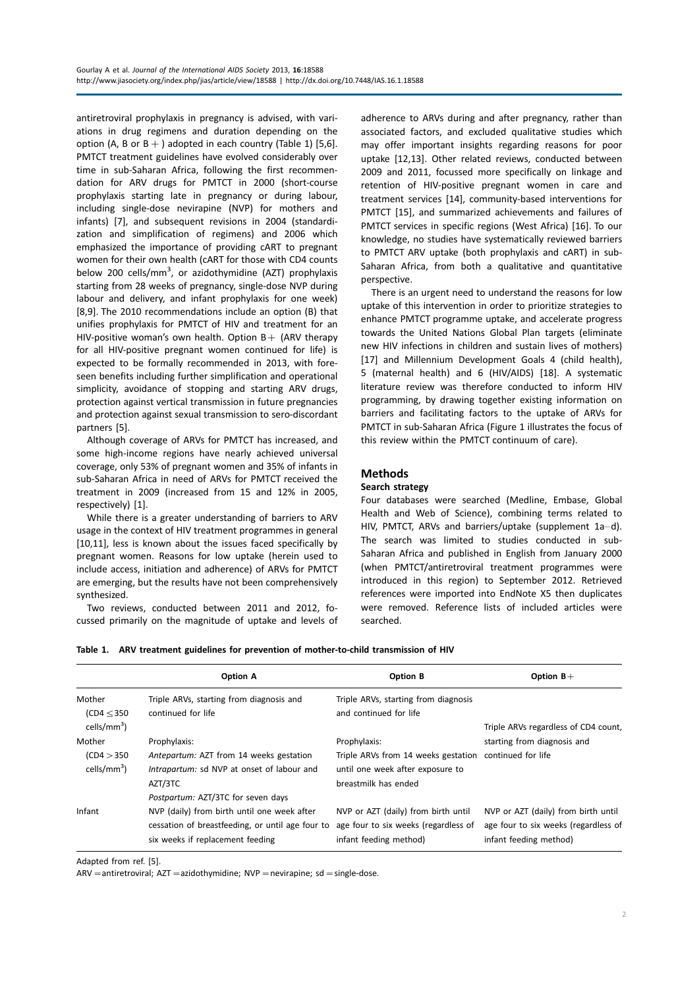antiretroviral prophylaxis in pregnancy is advised, with variations in drug regimens and duration depending on the option [\(](http://www.jiasociety.org/index.php/jias/article/view/18588)A, B or  $B +$ [\)](http://www.jiasociety.org/index.php/jias/article/view/18588) [adopted](http://www.jiasociety.org/index.php/jias/article/view/18588) [in](http://www.jiasociety.org/index.php/jias/article/view/18588) [each](http://www.jiasociety.org/index.php/jias/article/view/18588) [country](http://www.jiasociety.org/index.php/jias/article/view/18588) (T[able](http://dx.doi.org/10.7448/IAS.16.1.18588) [1\)](http://dx.doi.org/10.7448/IAS.16.1.18588) [\[5,6\].](http://dx.doi.org/10.7448/IAS.16.1.18588) PMTCT treatment guidelines have evolved considerably over time in sub-Saharan Africa, following the first recommendation for ARV drugs for PMTCT in 2000 (short-course prophylaxis starting late in pregnancy or during labour, including single-dose nevirapine (NVP) for mothers and infants) [7], and subsequent revisions in 2004 (standardization and simplification of regimens) and 2006 which emphasized the importance of providing cART to pregnant women for their own health (cART for those with CD4 counts below 200 cells/mm<sup>3</sup>, or azidothymidine (AZT) prophylaxis starting from 28 weeks of pregnancy, single-dose NVP during labour and delivery, and infant prophylaxis for one week) [8,9]. The 2010 recommendations include an option (B) that unifies prophylaxis for PMTCT of HIV and treatment for an HIV-positive woman's own health. Option  $B+$  (ARV therapy for all HIV-positive pregnant women continued for life) is expected to be formally recommended in 2013, with foreseen benefits including further simplification and operational simplicity, avoidance of stopping and starting ARV drugs, protection against vertical transmission in future pregnancies and protection against sexual transmission to sero-discordant partners [5].

Although coverage of ARVs for PMTCT has increased, and some high-income regions have nearly achieved universal coverage, only 53% of pregnant women and 35% of infants in sub-Saharan Africa in need of ARVs for PMTCT received the treatment in 2009 (increased from 15 and 12% in 2005, respectively) [1].

While there is a greater understanding of barriers to ARV usage in the context of HIV treatment programmes in general [10,11], less is known about the issues faced specifically by pregnant women. Reasons for low uptake (herein used to include access, initiation and adherence) of ARVs for PMTCT are emerging, but the results have not been comprehensively synthesized.

Two reviews, conducted between 2011 and 2012, focussed primarily on the magnitude of uptake and levels of adherence to ARVs during and after pregnancy, rather than associated factors, and excluded qualitative studies which may offer important insights regarding reasons for poor uptake [12,13]. Other related reviews, conducted between 2009 and 2011, focussed more specifically on linkage and retention of HIV-positive pregnant women in care and treatment services [14], community-based interventions for PMTCT [15], and summarized achievements and failures of PMTCT services in specific regions (West Africa) [16]. To our knowledge, no studies have systematically reviewed barriers to PMTCT ARV uptake (both prophylaxis and cART) in sub-Saharan Africa, from both a qualitative and quantitative perspective.

There is an urgent need to understand the reasons for low uptake of this intervention in order to prioritize strategies to enhance PMTCT programme uptake, and accelerate progress towards the United Nations Global Plan targets (eliminate new HIV infections in children and sustain lives of mothers) [17] and Millennium Development Goals 4 (child health), 5 (maternal health) and 6 (HIV/AIDS) [18]. A systematic literature review was therefore conducted to inform HIV programming, by drawing together existing information on barriers and facilitating factors to the uptake of ARVs for PMTCT in sub-Saharan Africa (Figure 1 illustrates the focus of this review within the PMTCT continuum of care).

# Methods

# Search strategy

Four databases were searched (Medline, Embase, Global Health and Web of Science), combining terms related to HIV, PMTCT, ARVs and barriers/uptake (supplement  $1a-d$ ). The search was limited to studies conducted in sub-Saharan Africa and published in English from January 2000 (when PMTCT/antiretroviral treatment programmes were introduced in this region) to Septemb[er 2012. Retrieve](http://www.jiasociety.org/index.php/jias/rt/suppFiles/18588/0)d references were imported into EndNote X5 then duplic[at](http://www.jiasociety.org/index.php/jias/rt/suppFiles/18588/0)es were removed. Reference lists of included articles were searched.

| Table 1. ARV treatment guidelines for prevention of mother-to-child transmission of HIV |  |  |  |  |
|-----------------------------------------------------------------------------------------|--|--|--|--|
|                                                                                         |  |  |  |  |

|                                                      | <b>Option A</b>                                                                                                                                        | <b>Option B</b>                                                                                                                    | Option $B+$                                                                                           |
|------------------------------------------------------|--------------------------------------------------------------------------------------------------------------------------------------------------------|------------------------------------------------------------------------------------------------------------------------------------|-------------------------------------------------------------------------------------------------------|
| Mother<br>(CD4 $\leq$ 350<br>cells/mm <sup>3</sup> ) | Triple ARVs, starting from diagnosis and<br>continued for life                                                                                         | Triple ARVs, starting from diagnosis<br>and continued for life                                                                     | Triple ARVs regardless of CD4 count,                                                                  |
| Mother<br>(CD4 > 350<br>cells/mm <sup>3</sup> )      | Prophylaxis:<br>Antepartum: AZT from 14 weeks gestation<br>Intrapartum: sd NVP at onset of labour and<br>AZT/3TC<br>Postpartum: AZT/3TC for seven days | Prophylaxis:<br>Triple ARVs from 14 weeks gestation continued for life<br>until one week after exposure to<br>breastmilk has ended | starting from diagnosis and                                                                           |
| Infant                                               | NVP (daily) from birth until one week after<br>cessation of breastfeeding, or until age four to<br>six weeks if replacement feeding                    | NVP or AZT (daily) from birth until<br>age four to six weeks (regardless of<br>infant feeding method)                              | NVP or AZT (daily) from birth until<br>age four to six weeks (regardless of<br>infant feeding method) |

Adapted from ref. [5].

 $ARV =$  antiretroviral; AZT = azidothymidine; NVP = nevirapine; sd = single-dose.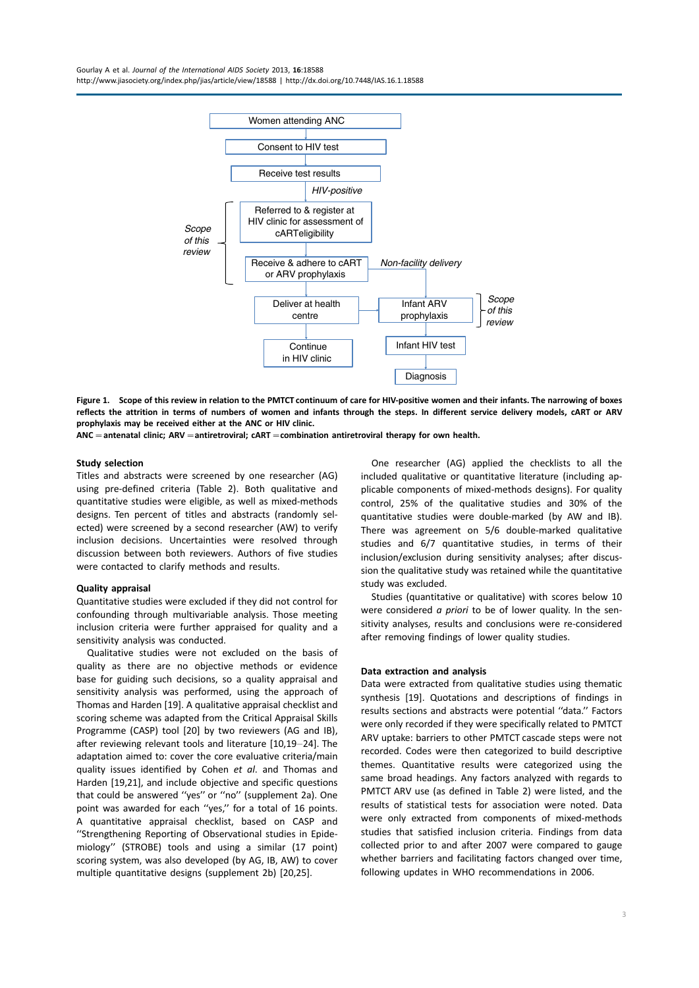

Figure 1. Scope of this review in relation to the PMTCT continuum of care for HIV-positive women and their infants. The narrowing of boxes reflects the attrition in terms of numbers of women and infants through the steps. In different service delivery models, cART or ARV prophylaxis may be received either at the ANC or HIV clinic.

 $ANC =$  antenatal clinic;  $ARV =$  antiretroviral; cART  $=$  combination antiretroviral therapy for own health.

# Study selection

Titles and abstracts were screened by one researcher (AG) using pre-defined criteria (Table 2). Both qualitative and quantitative studies were eligible, as well as mixed-methods designs. Ten percent of titles and abstracts (randomly selected) were screened by a second researcher (AW) to verify inclusion decisions. Uncertainties were resolved through discussion between both reviewers. Authors of five studies were contacted to clarify methods and results.

# Quality appraisal

Quantitative studies were excluded if they did not control for confounding through multivariable analysis. Those meeting inclusion criteria were further appraised for quality and a sensitivity analysis was conducted.

Qualitative studies were not excluded on the basis of quality as there are no objective methods or evidence base for guiding such decisions, so a quality appraisal and sensitivity analysis was performed, using the approach of Thomas and Harden [19]. A qualitative appraisal checklist and scoring scheme was adapted from the Critical Appraisal Skills Programme (CASP) tool [20] by two reviewers (AG and IB), after reviewing relevant tools and literature [10,19-24]. The adaptation aimed to: cover the core evaluative criteria/main quality issues identified by Cohen et al. and Thomas and Harden [19,21], and include objective and specific questions that could be answered ''yes'' or ''no'' (supplement 2a). One point was awarded for each ''yes,'' for a total of 16 points. A quantitative appraisal checklist, based on CASP and ''Strengthening Reporting of Observational studies in Epidemiology'' (STROBE) tools and using a similar (17 point) scoring system, was also developed (by [AG,](http://www.jiasociety.org/index.php/jias/rt/suppFiles/18588/0) [IB,](http://www.jiasociety.org/index.php/jias/rt/suppFiles/18588/0) [AW\)](http://www.jiasociety.org/index.php/jias/rt/suppFiles/18588/0) [to](http://www.jiasociety.org/index.php/jias/rt/suppFiles/18588/0) cover multiple quantitative designs (supplement 2b) [20,25].

One researcher (AG) applied the checklists to all the included qualitative or quantitative literature (including applicable components of mixed-methods designs). For quality control, 25% of the qualitative studies and 30% of the quantitative studies were double-marked (by AW and IB). There was agreement on 5/6 double-marked qualitative studies and 6/7 quantitative studies, in terms of their inclusion/exclusion during sensitivity analyses; after discussion the qualitative study was retained while the quantitative study was excluded.

Studies (quantitative or qualitative) with scores below 10 were considered a priori to be of lower quality. In the sensitivity analyses, results and conclusions were re-considered after removing findings of lower quality studies.

### Data extraction and analysis

Data were extracted from qualitative studies using thematic synthesis [19]. Quotations and descriptions of findings in results sections and abstracts were potential ''data.'' Factors were only recorded if they were specifically related to PMTCT ARV uptake: barriers to other PMTCT cascade steps were not recorded. Codes were then categorized to build descriptive themes. Quantitative results were categorized using the same broad headings. Any factors analyzed with regards to PMTCT ARV use (as defined in Table 2) were listed, and the results of statistical tests for association were noted. Data were only extracted from components of mixed-methods studies that satisfied inclusion criteria. Findings from data collected prior to and after 2007 were compared to gauge whether barriers and facilitating factors changed over time, following updates in WHO recommendations in 2006.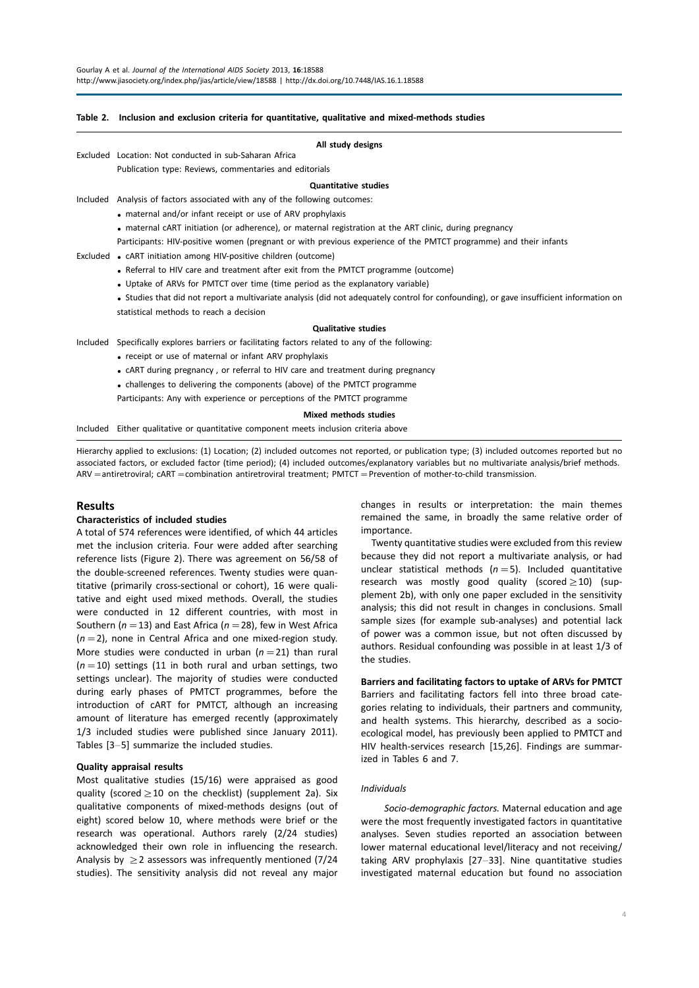### Table 2. Inclusion and exclusion criteria for quantitative, qualitative and mixed-methods studies

#### [All](http://dx.doi.org/10.7448/IAS.16.1.18588) [study](http://dx.doi.org/10.7448/IAS.16.1.18588) [designs](http://dx.doi.org/10.7448/IAS.16.1.18588)

Excluded Location: Not conducted in sub-Saharan Africa

Publication type: Reviews, commentaries and editorials

# Quantitative studies

Included Analysis of factors associated with any of the following outcomes:

- maternal and/or infant receipt or use of ARV prophylaxis
- maternal cART initiation (or adherence), or maternal registration at the ART clinic, during pregnancy
- Participants: HIV-positive women (pregnant or with previous experience of the PMTCT programme) and their infants

Excluded • cART initiation among HIV-positive children (outcome)

- Referral to HIV care and treatment after exit from the PMTCT programme (outcome)
- Uptake of ARVs for PMTCT over time (time period as the explanatory variable)

- Studies that did not report a multivariate analysis (did not adequately control for confounding), or gave insufficient information on statistical methods to reach a decision

# Qualitative studies

Included Specifically explores barriers or facilitating factors related to any of the following:

- receipt or use of maternal or infant ARV prophylaxis
- cART during pregnancy , or referral to HIV care and treatment during pregnancy
- challenges to delivering the components (above) of the PMTCT programme
- Participants: Any with experience or perceptions of the PMTCT programme

### Mixed methods studies

Included Either qualitative or quantitative component meets inclusion criteria above

Hierarchy applied to exclusions: (1) Location; (2) included outcomes not reported, or publication type; (3) included outcomes reported but no associated factors, or excluded factor (time period); (4) included outcomes/explanatory variables but no multivariate analysis/brief methods. ARV = antiretroviral; cART = combination antiretroviral treatment; PMTCT = Prevention of mother-to-child transmission.

# Results

### Characteristics of included studies

A total of 574 references were identified, of which 44 articles met the inclusion criteria. Four were added after searching reference lists (Figure 2). There was agreement on 56/58 of the double-screened references. Twenty studies were quantitative (primarily cross-sectional or cohort), 16 were qualitative and eight used mixed methods. Overall, the studies were conducted in 12 different countries, with most in Southern ( $n=13$ ) and East Africa ( $n=28$ ), few in West Africa  $(n=2)$ , none in Central Africa and one mixed-region study. More studies were conducted in urban ( $n=21$ ) than rural  $(n=10)$  settings (11 in both rural and urban settings, two settings unclear). The majority of studies were conducted during early phases of PMTCT programmes, before the introduction of cART for PMTCT, although an increasing amount of literature has emerged recently (approximately 1/3 included studies were published since January 2011). Tables  $[3-5]$  summarize the included studies.

# Quality appraisal results

Most qualitative studies (15/16) were appraised as good quality (scored  $\geq$  10 on the checklist) (supplement 2a). Six qualitative components of mixed-methods designs (out of eight) scored below 10, where methods were brief or the research was operational. Authors rarely (2/24 studies) acknowledged their own role in influ[encing the rese](http://www.jiasociety.org/index.php/jias/rt/suppFiles/18588/0)arch. Analysis by  $\geq$  2 assessors was infrequently mentioned (7/24 studies). The sensitivity analysis did not reveal any major

changes in results or interpretation: the main themes remained the same, in broadly the same relative order of importance.

Twenty quantitative studies were excluded from this review because they did not report a multivariate analysis, or had unclear statistical methods ( $n=5$ ). Included quantitative research was mostly good quality (scored  $\geq$  10) (supplement 2b), with only one paper excluded in the sensitivity analysis; this did not result in changes in conclusions. Small sample sizes (for example sub-analyses) and potential lack of power was a common issue, but not often discussed by authors. Residual confounding was possible in at least 1[/3](http://www.jiasociety.org/index.php/jias/rt/suppFiles/18588/0) [of](http://www.jiasociety.org/index.php/jias/rt/suppFiles/18588/0) [the](http://www.jiasociety.org/index.php/jias/rt/suppFiles/18588/0) [studies.](http://www.jiasociety.org/index.php/jias/rt/suppFiles/18588/0)

Barriers and facilitating factors to uptake of ARVs for PMTCT Barriers and facilitating factors fell into three broad categories relating to individuals, their partners and community, and health systems. This hierarchy, described as a socioecological model, has previously been applied to PMTCT and HIV health-services research [15,26]. Findings are summarized in Tables 6 and 7.

### Individuals

Socio-demographic factors. Maternal education and age were the most frequently investigated factors in quantitative analyses. Seven studies reported an association between lower maternal educational level/literacy and not receiving/ taking ARV prophylaxis  $[27-33]$ . Nine quantitative studies investigated maternal education but found no association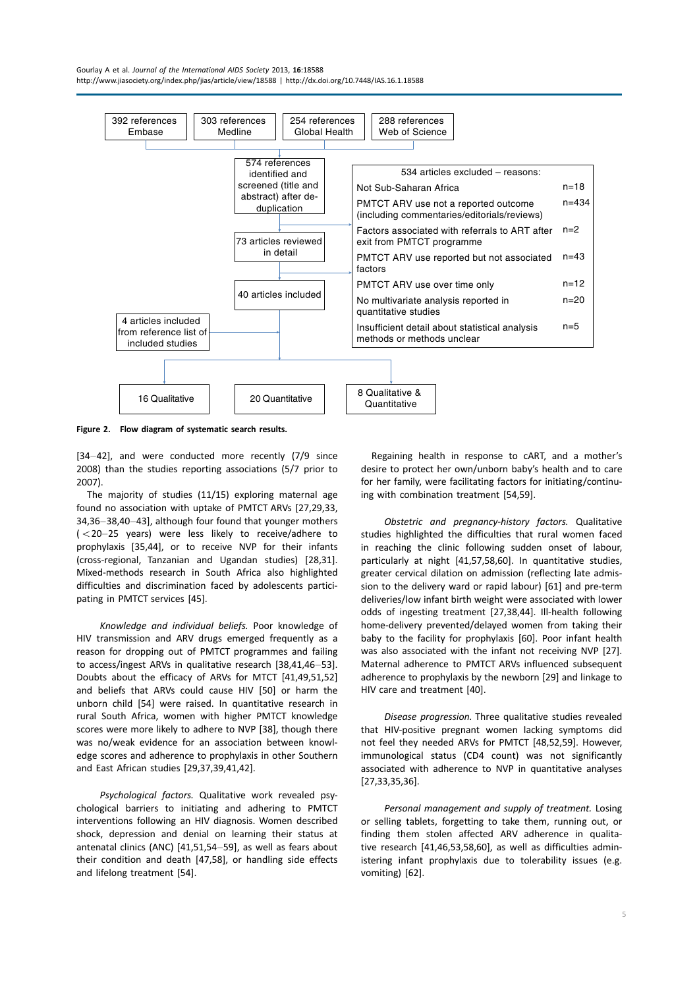

Figure 2. Flow diagram of systematic search results.

[34-42], and were conducted more recently (7/9 since 2008) than the studies reporting associations (5/7 prior to 2007).

The majority of studies (11/15) exploring maternal age found no association with uptake of PMTCT ARVs [27,29,33, 34,36-38,40-43], although four found that younger mothers  $( $20-25$  years) were less likely to receive/adhere to$ prophylaxis [35,44], or to receive NVP for their infants (cross-regional, Tanzanian and Ugandan studies) [28,31]. Mixed-methods research in South Africa also highlighted difficulties and discrimination faced by adolescents participating in PMTCT services [45].

Knowledge and individual beliefs. Poor knowledge of HIV transmission and ARV drugs emerged frequently as a reason for dropping out of PMTCT programmes and failing to access/ingest ARVs in qualitative research  $[38,41,46-53]$ . Doubts about the efficacy of ARVs for MTCT [41,49,51,52] and beliefs that ARVs could cause HIV [50] or harm the unborn child [54] were raised. In quantitative research in rural South Africa, women with higher PMTCT knowledge scores were more likely to adhere to NVP [38], though there was no/weak evidence for an association between knowledge scores and adherence to prophylaxis in other Southern and East African studies [29,37,39,41,42].

Psychological factors. Qualitative work revealed psychological barriers to initiating and adhering to PMTCT interventions following an HIV diagnosis. Women described shock, depression and denial on learning their status at antenatal clinics (ANC) [41,51,54-59], as well as fears about their condition and death [47,58], or handling side effects and lifelong treatment [54].

Regaining health in response to cART, and a mother's desire to protect her own/unborn baby's health and to care for her family, were facilitating factors for initiating/continuing with combination treatment [54,59].

Obstetric and pregnancy-history factors. Qualitative studies highlighted the difficulties that rural women faced in reaching the clinic following sudden onset of labour, particularly at night [41,57,58,60]. In quantitative studies, greater cervical dilation on admission (reflecting late admission to the delivery ward or rapid labour) [61] and pre-term deliveries/low infant birth weight were associated with lower odds of ingesting treatment [27,38,44]. Ill-health following home-delivery prevented/delayed women from taking their baby to the facility for prophylaxis [60]. Poor infant health was also associated with the infant not receiving NVP [27]. Maternal adherence to PMTCT ARVs influenced subsequent adherence to prophylaxis by the newborn [29] and linkage to HIV care and treatment [40].

Disease progression. Three qualitative studies revealed that HIV-positive pregnant women lacking symptoms did not feel they needed ARVs for PMTCT [48,52,59]. However, immunological status (CD4 count) was not significantly associated with adherence to NVP in quantitative analyses [27,33,35,36].

Personal management and supply of treatment. Losing or selling tablets, forgetting to take them, running out, or finding them stolen affected ARV adherence in qualitative research [41,46,53,58,60], as well as difficulties administering infant prophylaxis due to tolerability issues (e.g. vomiting) [62].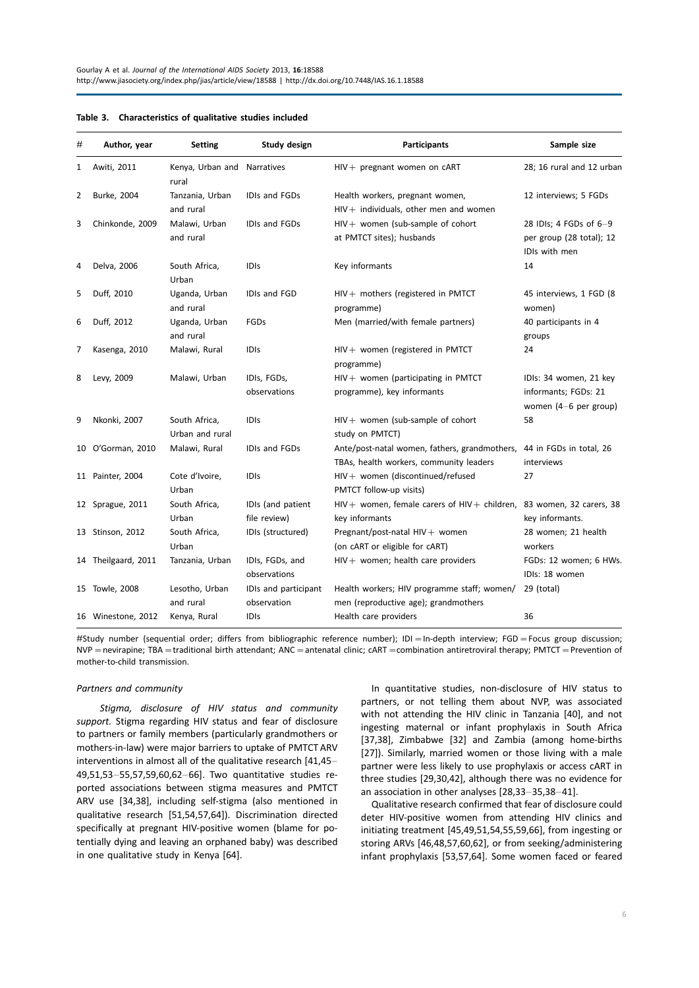|  | Table 3. Characteristics of qualitative studies included |  |  |  |  |
|--|----------------------------------------------------------|--|--|--|--|
|--|----------------------------------------------------------|--|--|--|--|

| #  | Author, year        | <b>Setting</b>                   | Study design                        | <b>Participants</b>                                                                       | Sample size                                                               |
|----|---------------------|----------------------------------|-------------------------------------|-------------------------------------------------------------------------------------------|---------------------------------------------------------------------------|
| 1  | Awiti, 2011         | Kenya, Urban and<br>rural        | Narratives                          | $HIV +$ pregnant women on $cART$                                                          | 28; 16 rural and 12 urban                                                 |
| 2  | Burke, 2004         | Tanzania, Urban<br>and rural     | <b>IDIs and FGDs</b>                | Health workers, pregnant women,<br>$HIV +$ individuals, other men and women               | 12 interviews; 5 FGDs                                                     |
| 3  | Chinkonde, 2009     | Malawi, Urban<br>and rural       | IDIs and FGDs                       | $HIV +$ women (sub-sample of cohort<br>at PMTCT sites); husbands                          | 28 IDIs; 4 FGDs of 6-9<br>per group (28 total); 12<br>IDIs with men       |
| 4  | Delva, 2006         | South Africa,<br>Urban           | IDIs                                | Key informants                                                                            | 14                                                                        |
| 5  | Duff, 2010          | Uganda, Urban<br>and rural       | <b>IDIs and FGD</b>                 | $HIV +$ mothers (registered in PMTCT<br>programme)                                        | 45 interviews, 1 FGD (8<br>women)                                         |
| 6  | Duff, 2012          | Uganda, Urban<br>and rural       | FGDs                                | Men (married/with female partners)                                                        | 40 participants in 4<br>groups                                            |
| 7  | Kasenga, 2010       | Malawi, Rural                    | <b>IDIs</b>                         | $HIV +$ women (registered in PMTCT<br>programme)                                          | 24                                                                        |
| 8  | Levy, 2009          | Malawi, Urban                    | IDIs, FGDs,<br>observations         | $HIV +$ women (participating in PMTCT<br>programme), key informants                       | IDIs: 34 women, 21 key<br>informants; FGDs: 21<br>women $(4-6$ per group) |
| 9  | Nkonki, 2007        | South Africa,<br>Urban and rural | <b>IDIs</b>                         | $HIV +$ women (sub-sample of cohort<br>study on PMTCT)                                    | 58                                                                        |
| 10 | O'Gorman, 2010      | Malawi, Rural                    | <b>IDIs and FGDs</b>                | Ante/post-natal women, fathers, grandmothers,<br>TBAs, health workers, community leaders  | 44 in FGDs in total, 26<br>interviews                                     |
|    | 11 Painter, 2004    | Cote d'Ivoire,<br>Urban          | IDIs                                | HIV + women (discontinued/refused<br>PMTCT follow-up visits)                              | 27                                                                        |
|    | 12 Sprague, 2011    | South Africa,<br>Urban           | IDIs (and patient<br>file review)   | $HIV+$ women, female carers of $HIV+$ children, 83 women, 32 carers, 38<br>key informants | key informants.                                                           |
|    | 13 Stinson, 2012    | South Africa,<br>Urban           | IDIs (structured)                   | Pregnant/post-natal HIV + women<br>(on cART or eligible for cART)                         | 28 women; 21 health<br>workers                                            |
|    | 14 Theilgaard, 2011 | Tanzania, Urban                  | IDIs, FGDs, and<br>observations     | $HIV +$ women; health care providers                                                      | FGDs: 12 women; 6 HWs.<br>IDIs: 18 women                                  |
|    | 15 Towle, 2008      | Lesotho, Urban<br>and rural      | IDIs and participant<br>observation | Health workers; HIV programme staff; women/<br>men (reproductive age); grandmothers       | 29 (total)                                                                |
|    | 16 Winestone, 2012  | Kenya, Rural                     | <b>IDIs</b>                         | Health care providers                                                                     | 36                                                                        |

#Study number (sequential order; differs from bibliographic reference number); IDI = In-depth interview; FGD = Focus group discussion;  $NVP =$ nevirapine; TBA = traditional birth attendant; ANC = antenatal clinic; cART = combination antiretroviral therapy; PMTCT = Prevention of mother-to-child transmission.

### Partners and community

Stigma, disclosure of HIV status and community support. Stigma regarding HIV status and fear of disclosure to partners or family members (particularly grandmothers or mothers-in-law) were major barriers to uptake of PMTCT ARV interventions in almost all of the qualitative research [41,45 49,51,53-55,57,59,60,62-66]. Two quantitative studies reported associations between stigma measures and PMTCT ARV use [34,38], including self-stigma (also mentioned in qualitative research [51,54,57,64]). Discrimination directed specifically at pregnant HIV-positive women (blame for potentially dying and leaving an orphaned baby) was described in one qualitative study in Kenya [64].

In quantitative studies, non-disclosure of HIV status to partners, or not telling them about NVP, was associated with not attending the HIV clinic in Tanzania [40], and not ingesting maternal or infant prophylaxis in South Africa [37,38], Zimbabwe [32] and Zambia (among home-births [27]). Similarly, married women or those living with a male partner were less likely to use prophylaxis or access cART in three studies [29,30,42], although there was no evidence for an association in other analyses [28,33-35,38-41].

Qualitative research confirmed that fear of disclosure could deter HIV-positive women from attending HIV clinics and initiating treatment [45,49,51,54,55,59,66], from ingesting or storing ARVs [46,48,57,60,62], or from seeking/administering infant prophylaxis [53,57,64]. Some women faced or feared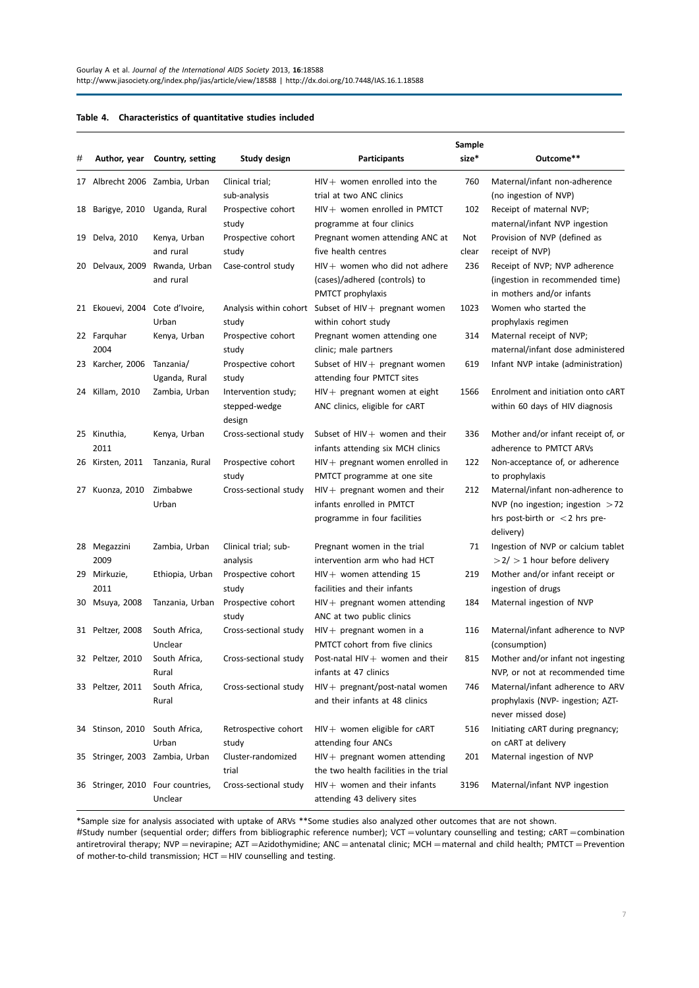# Table 4. Characteristics of quantitative studies included

| Author, year Country, setting<br>Maternal/infant non-adherence<br>17 Albrecht 2006 Zambia, Urban<br>Clinical trial;<br>$HIV +$ women enrolled into the<br>760<br>sub-analysis<br>trial at two ANC clinics<br>(no ingestion of NVP)<br>102<br>Prospective cohort<br>$HIV +$ women enrolled in PMTCT<br>Receipt of maternal NVP;<br>18 Barigye, 2010<br>Uganda, Rural<br>programme at four clinics<br>maternal/infant NVP ingestion<br>study<br>Provision of NVP (defined as<br>19 Delva, 2010<br>Prospective cohort<br>Pregnant women attending ANC at<br>Kenya, Urban<br>Not<br>and rural<br>five health centres<br>receipt of NVP)<br>study<br>clear<br>$HIV +$ women who did not adhere<br>20 Delvaux, 2009<br>Rwanda, Urban<br>236<br>Receipt of NVP; NVP adherence<br>Case-control study<br>and rural<br>(cases)/adhered (controls) to<br>(ingestion in recommended time)<br>in mothers and/or infants<br>PMTCT prophylaxis<br>21 Ekouevi, 2004<br>Cote d'Ivoire,<br>Analysis within cohort<br>Subset of $HIV +$ pregnant women<br>1023<br>Women who started the<br>Urban<br>within cohort study<br>prophylaxis regimen<br>study<br>22 Farquhar<br>Kenya, Urban<br>Prospective cohort<br>Pregnant women attending one<br>314<br>Maternal receipt of NVP;<br>2004<br>maternal/infant dose administered<br>clinic; male partners<br>study<br>Karcher, 2006<br>Prospective cohort<br>Subset of $HIV +$ pregnant women<br>619<br>Infant NVP intake (administration)<br>Tanzania/<br>23<br>attending four PMTCT sites<br>Uganda, Rural<br>study<br>24 Killam, 2010<br>Intervention study;<br>$HIV +$ pregnant women at eight<br>1566<br>Enrolment and initiation onto cART<br>Zambia, Urban<br>stepped-wedge<br>ANC clinics, eligible for cART<br>within 60 days of HIV diagnosis<br>design<br>25 Kinuthia,<br>Kenya, Urban<br>Cross-sectional study<br>Subset of $HIV +$ women and their<br>336<br>Mother and/or infant receipt of, or<br>2011<br>adherence to PMTCT ARVs<br>infants attending six MCH clinics<br>26 Kirsten, 2011<br>Prospective cohort<br>$HIV +$ pregnant women enrolled in<br>122<br>Non-acceptance of, or adherence<br>Tanzania, Rural<br>study<br>PMTCT programme at one site<br>to prophylaxis<br>27 Kuonza, 2010<br>Zimbabwe<br>Cross-sectional study<br>$HIV +$ pregnant women and their<br>212<br>Maternal/infant non-adherence to<br>Urban<br>infants enrolled in PMTCT<br>NVP (no ingestion; ingestion $>72$<br>programme in four facilities<br>hrs post-birth or $<$ 2 hrs pre-<br>delivery)<br>28 Megazzini<br>71<br>Ingestion of NVP or calcium tablet<br>Zambia, Urban<br>Clinical trial; sub-<br>Pregnant women in the trial<br>2009<br>analysis<br>intervention arm who had HCT<br>$>2/$ > 1 hour before delivery<br>29 Mirkuzie,<br>Prospective cohort<br>$HIV +$ women attending 15<br>219<br>Mother and/or infant receipt or<br>Ethiopia, Urban<br>2011<br>facilities and their infants<br>ingestion of drugs<br>study<br>30 Msuya, 2008<br>Prospective cohort<br>$HIV +$ pregnant women attending<br>184<br>Maternal ingestion of NVP<br>Tanzania, Urban<br>ANC at two public clinics<br>study<br>Maternal/infant adherence to NVP<br>31 Peltzer, 2008<br>Cross-sectional study<br>$HIV + pregnant women in a$<br>116<br>South Africa,<br>PMTCT cohort from five clinics<br>Unclear<br>(consumption)<br>815<br>32 Peltzer, 2010<br>South Africa<br>Cross-sectional study<br>Mother and/or infant not ingesting<br>Post-natal $HIV +$ women and their<br>infants at 47 clinics<br>Rural<br>NVP, or not at recommended time<br>South Africa,<br>Maternal/infant adherence to ARV<br>33 Peltzer, 2011<br>Cross-sectional study<br>$HIV + pregnant/post-natal women$<br>746<br>prophylaxis (NVP- ingestion; AZT-<br>Rural<br>and their infants at 48 clinics<br>never missed dose)<br>34 Stinson, 2010<br>Retrospective cohort<br>$HIV +$ women eligible for cART<br>Initiating cART during pregnancy;<br>South Africa,<br>516<br>Urban<br>attending four ANCs<br>on cART at delivery<br>study<br>35 Stringer, 2003 Zambia, Urban<br>Cluster-randomized<br>$HIV +$ pregnant women attending<br>201<br>Maternal ingestion of NVP<br>the two health facilities in the trial<br>trial<br>36 Stringer, 2010 Four countries,<br>Cross-sectional study<br>$HIV +$ women and their infants<br>3196<br>Maternal/infant NVP ingestion<br>Unclear<br>attending 43 delivery sites |   |  |              |                     | Sample |           |
|----------------------------------------------------------------------------------------------------------------------------------------------------------------------------------------------------------------------------------------------------------------------------------------------------------------------------------------------------------------------------------------------------------------------------------------------------------------------------------------------------------------------------------------------------------------------------------------------------------------------------------------------------------------------------------------------------------------------------------------------------------------------------------------------------------------------------------------------------------------------------------------------------------------------------------------------------------------------------------------------------------------------------------------------------------------------------------------------------------------------------------------------------------------------------------------------------------------------------------------------------------------------------------------------------------------------------------------------------------------------------------------------------------------------------------------------------------------------------------------------------------------------------------------------------------------------------------------------------------------------------------------------------------------------------------------------------------------------------------------------------------------------------------------------------------------------------------------------------------------------------------------------------------------------------------------------------------------------------------------------------------------------------------------------------------------------------------------------------------------------------------------------------------------------------------------------------------------------------------------------------------------------------------------------------------------------------------------------------------------------------------------------------------------------------------------------------------------------------------------------------------------------------------------------------------------------------------------------------------------------------------------------------------------------------------------------------------------------------------------------------------------------------------------------------------------------------------------------------------------------------------------------------------------------------------------------------------------------------------------------------------------------------------------------------------------------------------------------------------------------------------------------------------------------------------------------------------------------------------------------------------------------------------------------------------------------------------------------------------------------------------------------------------------------------------------------------------------------------------------------------------------------------------------------------------------------------------------------------------------------------------------------------------------------------------------------------------------------------------------------------------------------------------------------------------------------------------------------------------------------------------------------------------------------------------------------------------------------------------------------------------------------------------------------------------------------------------------------------------------------------------------------------------------------------------------------------------------------------------------------------------------------------------------------------------------------------------------------------------------------------------------------------------|---|--|--------------|---------------------|--------|-----------|
|                                                                                                                                                                                                                                                                                                                                                                                                                                                                                                                                                                                                                                                                                                                                                                                                                                                                                                                                                                                                                                                                                                                                                                                                                                                                                                                                                                                                                                                                                                                                                                                                                                                                                                                                                                                                                                                                                                                                                                                                                                                                                                                                                                                                                                                                                                                                                                                                                                                                                                                                                                                                                                                                                                                                                                                                                                                                                                                                                                                                                                                                                                                                                                                                                                                                                                                                                                                                                                                                                                                                                                                                                                                                                                                                                                                                                                                                                                                                                                                                                                                                                                                                                                                                                                                                                                                                                                                                          | # |  | Study design | <b>Participants</b> | size*  | Outcome** |
|                                                                                                                                                                                                                                                                                                                                                                                                                                                                                                                                                                                                                                                                                                                                                                                                                                                                                                                                                                                                                                                                                                                                                                                                                                                                                                                                                                                                                                                                                                                                                                                                                                                                                                                                                                                                                                                                                                                                                                                                                                                                                                                                                                                                                                                                                                                                                                                                                                                                                                                                                                                                                                                                                                                                                                                                                                                                                                                                                                                                                                                                                                                                                                                                                                                                                                                                                                                                                                                                                                                                                                                                                                                                                                                                                                                                                                                                                                                                                                                                                                                                                                                                                                                                                                                                                                                                                                                                          |   |  |              |                     |        |           |
|                                                                                                                                                                                                                                                                                                                                                                                                                                                                                                                                                                                                                                                                                                                                                                                                                                                                                                                                                                                                                                                                                                                                                                                                                                                                                                                                                                                                                                                                                                                                                                                                                                                                                                                                                                                                                                                                                                                                                                                                                                                                                                                                                                                                                                                                                                                                                                                                                                                                                                                                                                                                                                                                                                                                                                                                                                                                                                                                                                                                                                                                                                                                                                                                                                                                                                                                                                                                                                                                                                                                                                                                                                                                                                                                                                                                                                                                                                                                                                                                                                                                                                                                                                                                                                                                                                                                                                                                          |   |  |              |                     |        |           |
|                                                                                                                                                                                                                                                                                                                                                                                                                                                                                                                                                                                                                                                                                                                                                                                                                                                                                                                                                                                                                                                                                                                                                                                                                                                                                                                                                                                                                                                                                                                                                                                                                                                                                                                                                                                                                                                                                                                                                                                                                                                                                                                                                                                                                                                                                                                                                                                                                                                                                                                                                                                                                                                                                                                                                                                                                                                                                                                                                                                                                                                                                                                                                                                                                                                                                                                                                                                                                                                                                                                                                                                                                                                                                                                                                                                                                                                                                                                                                                                                                                                                                                                                                                                                                                                                                                                                                                                                          |   |  |              |                     |        |           |
|                                                                                                                                                                                                                                                                                                                                                                                                                                                                                                                                                                                                                                                                                                                                                                                                                                                                                                                                                                                                                                                                                                                                                                                                                                                                                                                                                                                                                                                                                                                                                                                                                                                                                                                                                                                                                                                                                                                                                                                                                                                                                                                                                                                                                                                                                                                                                                                                                                                                                                                                                                                                                                                                                                                                                                                                                                                                                                                                                                                                                                                                                                                                                                                                                                                                                                                                                                                                                                                                                                                                                                                                                                                                                                                                                                                                                                                                                                                                                                                                                                                                                                                                                                                                                                                                                                                                                                                                          |   |  |              |                     |        |           |
|                                                                                                                                                                                                                                                                                                                                                                                                                                                                                                                                                                                                                                                                                                                                                                                                                                                                                                                                                                                                                                                                                                                                                                                                                                                                                                                                                                                                                                                                                                                                                                                                                                                                                                                                                                                                                                                                                                                                                                                                                                                                                                                                                                                                                                                                                                                                                                                                                                                                                                                                                                                                                                                                                                                                                                                                                                                                                                                                                                                                                                                                                                                                                                                                                                                                                                                                                                                                                                                                                                                                                                                                                                                                                                                                                                                                                                                                                                                                                                                                                                                                                                                                                                                                                                                                                                                                                                                                          |   |  |              |                     |        |           |
|                                                                                                                                                                                                                                                                                                                                                                                                                                                                                                                                                                                                                                                                                                                                                                                                                                                                                                                                                                                                                                                                                                                                                                                                                                                                                                                                                                                                                                                                                                                                                                                                                                                                                                                                                                                                                                                                                                                                                                                                                                                                                                                                                                                                                                                                                                                                                                                                                                                                                                                                                                                                                                                                                                                                                                                                                                                                                                                                                                                                                                                                                                                                                                                                                                                                                                                                                                                                                                                                                                                                                                                                                                                                                                                                                                                                                                                                                                                                                                                                                                                                                                                                                                                                                                                                                                                                                                                                          |   |  |              |                     |        |           |
|                                                                                                                                                                                                                                                                                                                                                                                                                                                                                                                                                                                                                                                                                                                                                                                                                                                                                                                                                                                                                                                                                                                                                                                                                                                                                                                                                                                                                                                                                                                                                                                                                                                                                                                                                                                                                                                                                                                                                                                                                                                                                                                                                                                                                                                                                                                                                                                                                                                                                                                                                                                                                                                                                                                                                                                                                                                                                                                                                                                                                                                                                                                                                                                                                                                                                                                                                                                                                                                                                                                                                                                                                                                                                                                                                                                                                                                                                                                                                                                                                                                                                                                                                                                                                                                                                                                                                                                                          |   |  |              |                     |        |           |
|                                                                                                                                                                                                                                                                                                                                                                                                                                                                                                                                                                                                                                                                                                                                                                                                                                                                                                                                                                                                                                                                                                                                                                                                                                                                                                                                                                                                                                                                                                                                                                                                                                                                                                                                                                                                                                                                                                                                                                                                                                                                                                                                                                                                                                                                                                                                                                                                                                                                                                                                                                                                                                                                                                                                                                                                                                                                                                                                                                                                                                                                                                                                                                                                                                                                                                                                                                                                                                                                                                                                                                                                                                                                                                                                                                                                                                                                                                                                                                                                                                                                                                                                                                                                                                                                                                                                                                                                          |   |  |              |                     |        |           |
|                                                                                                                                                                                                                                                                                                                                                                                                                                                                                                                                                                                                                                                                                                                                                                                                                                                                                                                                                                                                                                                                                                                                                                                                                                                                                                                                                                                                                                                                                                                                                                                                                                                                                                                                                                                                                                                                                                                                                                                                                                                                                                                                                                                                                                                                                                                                                                                                                                                                                                                                                                                                                                                                                                                                                                                                                                                                                                                                                                                                                                                                                                                                                                                                                                                                                                                                                                                                                                                                                                                                                                                                                                                                                                                                                                                                                                                                                                                                                                                                                                                                                                                                                                                                                                                                                                                                                                                                          |   |  |              |                     |        |           |
|                                                                                                                                                                                                                                                                                                                                                                                                                                                                                                                                                                                                                                                                                                                                                                                                                                                                                                                                                                                                                                                                                                                                                                                                                                                                                                                                                                                                                                                                                                                                                                                                                                                                                                                                                                                                                                                                                                                                                                                                                                                                                                                                                                                                                                                                                                                                                                                                                                                                                                                                                                                                                                                                                                                                                                                                                                                                                                                                                                                                                                                                                                                                                                                                                                                                                                                                                                                                                                                                                                                                                                                                                                                                                                                                                                                                                                                                                                                                                                                                                                                                                                                                                                                                                                                                                                                                                                                                          |   |  |              |                     |        |           |
|                                                                                                                                                                                                                                                                                                                                                                                                                                                                                                                                                                                                                                                                                                                                                                                                                                                                                                                                                                                                                                                                                                                                                                                                                                                                                                                                                                                                                                                                                                                                                                                                                                                                                                                                                                                                                                                                                                                                                                                                                                                                                                                                                                                                                                                                                                                                                                                                                                                                                                                                                                                                                                                                                                                                                                                                                                                                                                                                                                                                                                                                                                                                                                                                                                                                                                                                                                                                                                                                                                                                                                                                                                                                                                                                                                                                                                                                                                                                                                                                                                                                                                                                                                                                                                                                                                                                                                                                          |   |  |              |                     |        |           |
|                                                                                                                                                                                                                                                                                                                                                                                                                                                                                                                                                                                                                                                                                                                                                                                                                                                                                                                                                                                                                                                                                                                                                                                                                                                                                                                                                                                                                                                                                                                                                                                                                                                                                                                                                                                                                                                                                                                                                                                                                                                                                                                                                                                                                                                                                                                                                                                                                                                                                                                                                                                                                                                                                                                                                                                                                                                                                                                                                                                                                                                                                                                                                                                                                                                                                                                                                                                                                                                                                                                                                                                                                                                                                                                                                                                                                                                                                                                                                                                                                                                                                                                                                                                                                                                                                                                                                                                                          |   |  |              |                     |        |           |
|                                                                                                                                                                                                                                                                                                                                                                                                                                                                                                                                                                                                                                                                                                                                                                                                                                                                                                                                                                                                                                                                                                                                                                                                                                                                                                                                                                                                                                                                                                                                                                                                                                                                                                                                                                                                                                                                                                                                                                                                                                                                                                                                                                                                                                                                                                                                                                                                                                                                                                                                                                                                                                                                                                                                                                                                                                                                                                                                                                                                                                                                                                                                                                                                                                                                                                                                                                                                                                                                                                                                                                                                                                                                                                                                                                                                                                                                                                                                                                                                                                                                                                                                                                                                                                                                                                                                                                                                          |   |  |              |                     |        |           |
|                                                                                                                                                                                                                                                                                                                                                                                                                                                                                                                                                                                                                                                                                                                                                                                                                                                                                                                                                                                                                                                                                                                                                                                                                                                                                                                                                                                                                                                                                                                                                                                                                                                                                                                                                                                                                                                                                                                                                                                                                                                                                                                                                                                                                                                                                                                                                                                                                                                                                                                                                                                                                                                                                                                                                                                                                                                                                                                                                                                                                                                                                                                                                                                                                                                                                                                                                                                                                                                                                                                                                                                                                                                                                                                                                                                                                                                                                                                                                                                                                                                                                                                                                                                                                                                                                                                                                                                                          |   |  |              |                     |        |           |
|                                                                                                                                                                                                                                                                                                                                                                                                                                                                                                                                                                                                                                                                                                                                                                                                                                                                                                                                                                                                                                                                                                                                                                                                                                                                                                                                                                                                                                                                                                                                                                                                                                                                                                                                                                                                                                                                                                                                                                                                                                                                                                                                                                                                                                                                                                                                                                                                                                                                                                                                                                                                                                                                                                                                                                                                                                                                                                                                                                                                                                                                                                                                                                                                                                                                                                                                                                                                                                                                                                                                                                                                                                                                                                                                                                                                                                                                                                                                                                                                                                                                                                                                                                                                                                                                                                                                                                                                          |   |  |              |                     |        |           |
|                                                                                                                                                                                                                                                                                                                                                                                                                                                                                                                                                                                                                                                                                                                                                                                                                                                                                                                                                                                                                                                                                                                                                                                                                                                                                                                                                                                                                                                                                                                                                                                                                                                                                                                                                                                                                                                                                                                                                                                                                                                                                                                                                                                                                                                                                                                                                                                                                                                                                                                                                                                                                                                                                                                                                                                                                                                                                                                                                                                                                                                                                                                                                                                                                                                                                                                                                                                                                                                                                                                                                                                                                                                                                                                                                                                                                                                                                                                                                                                                                                                                                                                                                                                                                                                                                                                                                                                                          |   |  |              |                     |        |           |
|                                                                                                                                                                                                                                                                                                                                                                                                                                                                                                                                                                                                                                                                                                                                                                                                                                                                                                                                                                                                                                                                                                                                                                                                                                                                                                                                                                                                                                                                                                                                                                                                                                                                                                                                                                                                                                                                                                                                                                                                                                                                                                                                                                                                                                                                                                                                                                                                                                                                                                                                                                                                                                                                                                                                                                                                                                                                                                                                                                                                                                                                                                                                                                                                                                                                                                                                                                                                                                                                                                                                                                                                                                                                                                                                                                                                                                                                                                                                                                                                                                                                                                                                                                                                                                                                                                                                                                                                          |   |  |              |                     |        |           |
|                                                                                                                                                                                                                                                                                                                                                                                                                                                                                                                                                                                                                                                                                                                                                                                                                                                                                                                                                                                                                                                                                                                                                                                                                                                                                                                                                                                                                                                                                                                                                                                                                                                                                                                                                                                                                                                                                                                                                                                                                                                                                                                                                                                                                                                                                                                                                                                                                                                                                                                                                                                                                                                                                                                                                                                                                                                                                                                                                                                                                                                                                                                                                                                                                                                                                                                                                                                                                                                                                                                                                                                                                                                                                                                                                                                                                                                                                                                                                                                                                                                                                                                                                                                                                                                                                                                                                                                                          |   |  |              |                     |        |           |
|                                                                                                                                                                                                                                                                                                                                                                                                                                                                                                                                                                                                                                                                                                                                                                                                                                                                                                                                                                                                                                                                                                                                                                                                                                                                                                                                                                                                                                                                                                                                                                                                                                                                                                                                                                                                                                                                                                                                                                                                                                                                                                                                                                                                                                                                                                                                                                                                                                                                                                                                                                                                                                                                                                                                                                                                                                                                                                                                                                                                                                                                                                                                                                                                                                                                                                                                                                                                                                                                                                                                                                                                                                                                                                                                                                                                                                                                                                                                                                                                                                                                                                                                                                                                                                                                                                                                                                                                          |   |  |              |                     |        |           |
|                                                                                                                                                                                                                                                                                                                                                                                                                                                                                                                                                                                                                                                                                                                                                                                                                                                                                                                                                                                                                                                                                                                                                                                                                                                                                                                                                                                                                                                                                                                                                                                                                                                                                                                                                                                                                                                                                                                                                                                                                                                                                                                                                                                                                                                                                                                                                                                                                                                                                                                                                                                                                                                                                                                                                                                                                                                                                                                                                                                                                                                                                                                                                                                                                                                                                                                                                                                                                                                                                                                                                                                                                                                                                                                                                                                                                                                                                                                                                                                                                                                                                                                                                                                                                                                                                                                                                                                                          |   |  |              |                     |        |           |
|                                                                                                                                                                                                                                                                                                                                                                                                                                                                                                                                                                                                                                                                                                                                                                                                                                                                                                                                                                                                                                                                                                                                                                                                                                                                                                                                                                                                                                                                                                                                                                                                                                                                                                                                                                                                                                                                                                                                                                                                                                                                                                                                                                                                                                                                                                                                                                                                                                                                                                                                                                                                                                                                                                                                                                                                                                                                                                                                                                                                                                                                                                                                                                                                                                                                                                                                                                                                                                                                                                                                                                                                                                                                                                                                                                                                                                                                                                                                                                                                                                                                                                                                                                                                                                                                                                                                                                                                          |   |  |              |                     |        |           |
|                                                                                                                                                                                                                                                                                                                                                                                                                                                                                                                                                                                                                                                                                                                                                                                                                                                                                                                                                                                                                                                                                                                                                                                                                                                                                                                                                                                                                                                                                                                                                                                                                                                                                                                                                                                                                                                                                                                                                                                                                                                                                                                                                                                                                                                                                                                                                                                                                                                                                                                                                                                                                                                                                                                                                                                                                                                                                                                                                                                                                                                                                                                                                                                                                                                                                                                                                                                                                                                                                                                                                                                                                                                                                                                                                                                                                                                                                                                                                                                                                                                                                                                                                                                                                                                                                                                                                                                                          |   |  |              |                     |        |           |
|                                                                                                                                                                                                                                                                                                                                                                                                                                                                                                                                                                                                                                                                                                                                                                                                                                                                                                                                                                                                                                                                                                                                                                                                                                                                                                                                                                                                                                                                                                                                                                                                                                                                                                                                                                                                                                                                                                                                                                                                                                                                                                                                                                                                                                                                                                                                                                                                                                                                                                                                                                                                                                                                                                                                                                                                                                                                                                                                                                                                                                                                                                                                                                                                                                                                                                                                                                                                                                                                                                                                                                                                                                                                                                                                                                                                                                                                                                                                                                                                                                                                                                                                                                                                                                                                                                                                                                                                          |   |  |              |                     |        |           |
|                                                                                                                                                                                                                                                                                                                                                                                                                                                                                                                                                                                                                                                                                                                                                                                                                                                                                                                                                                                                                                                                                                                                                                                                                                                                                                                                                                                                                                                                                                                                                                                                                                                                                                                                                                                                                                                                                                                                                                                                                                                                                                                                                                                                                                                                                                                                                                                                                                                                                                                                                                                                                                                                                                                                                                                                                                                                                                                                                                                                                                                                                                                                                                                                                                                                                                                                                                                                                                                                                                                                                                                                                                                                                                                                                                                                                                                                                                                                                                                                                                                                                                                                                                                                                                                                                                                                                                                                          |   |  |              |                     |        |           |
|                                                                                                                                                                                                                                                                                                                                                                                                                                                                                                                                                                                                                                                                                                                                                                                                                                                                                                                                                                                                                                                                                                                                                                                                                                                                                                                                                                                                                                                                                                                                                                                                                                                                                                                                                                                                                                                                                                                                                                                                                                                                                                                                                                                                                                                                                                                                                                                                                                                                                                                                                                                                                                                                                                                                                                                                                                                                                                                                                                                                                                                                                                                                                                                                                                                                                                                                                                                                                                                                                                                                                                                                                                                                                                                                                                                                                                                                                                                                                                                                                                                                                                                                                                                                                                                                                                                                                                                                          |   |  |              |                     |        |           |
|                                                                                                                                                                                                                                                                                                                                                                                                                                                                                                                                                                                                                                                                                                                                                                                                                                                                                                                                                                                                                                                                                                                                                                                                                                                                                                                                                                                                                                                                                                                                                                                                                                                                                                                                                                                                                                                                                                                                                                                                                                                                                                                                                                                                                                                                                                                                                                                                                                                                                                                                                                                                                                                                                                                                                                                                                                                                                                                                                                                                                                                                                                                                                                                                                                                                                                                                                                                                                                                                                                                                                                                                                                                                                                                                                                                                                                                                                                                                                                                                                                                                                                                                                                                                                                                                                                                                                                                                          |   |  |              |                     |        |           |
|                                                                                                                                                                                                                                                                                                                                                                                                                                                                                                                                                                                                                                                                                                                                                                                                                                                                                                                                                                                                                                                                                                                                                                                                                                                                                                                                                                                                                                                                                                                                                                                                                                                                                                                                                                                                                                                                                                                                                                                                                                                                                                                                                                                                                                                                                                                                                                                                                                                                                                                                                                                                                                                                                                                                                                                                                                                                                                                                                                                                                                                                                                                                                                                                                                                                                                                                                                                                                                                                                                                                                                                                                                                                                                                                                                                                                                                                                                                                                                                                                                                                                                                                                                                                                                                                                                                                                                                                          |   |  |              |                     |        |           |
|                                                                                                                                                                                                                                                                                                                                                                                                                                                                                                                                                                                                                                                                                                                                                                                                                                                                                                                                                                                                                                                                                                                                                                                                                                                                                                                                                                                                                                                                                                                                                                                                                                                                                                                                                                                                                                                                                                                                                                                                                                                                                                                                                                                                                                                                                                                                                                                                                                                                                                                                                                                                                                                                                                                                                                                                                                                                                                                                                                                                                                                                                                                                                                                                                                                                                                                                                                                                                                                                                                                                                                                                                                                                                                                                                                                                                                                                                                                                                                                                                                                                                                                                                                                                                                                                                                                                                                                                          |   |  |              |                     |        |           |
|                                                                                                                                                                                                                                                                                                                                                                                                                                                                                                                                                                                                                                                                                                                                                                                                                                                                                                                                                                                                                                                                                                                                                                                                                                                                                                                                                                                                                                                                                                                                                                                                                                                                                                                                                                                                                                                                                                                                                                                                                                                                                                                                                                                                                                                                                                                                                                                                                                                                                                                                                                                                                                                                                                                                                                                                                                                                                                                                                                                                                                                                                                                                                                                                                                                                                                                                                                                                                                                                                                                                                                                                                                                                                                                                                                                                                                                                                                                                                                                                                                                                                                                                                                                                                                                                                                                                                                                                          |   |  |              |                     |        |           |
|                                                                                                                                                                                                                                                                                                                                                                                                                                                                                                                                                                                                                                                                                                                                                                                                                                                                                                                                                                                                                                                                                                                                                                                                                                                                                                                                                                                                                                                                                                                                                                                                                                                                                                                                                                                                                                                                                                                                                                                                                                                                                                                                                                                                                                                                                                                                                                                                                                                                                                                                                                                                                                                                                                                                                                                                                                                                                                                                                                                                                                                                                                                                                                                                                                                                                                                                                                                                                                                                                                                                                                                                                                                                                                                                                                                                                                                                                                                                                                                                                                                                                                                                                                                                                                                                                                                                                                                                          |   |  |              |                     |        |           |
|                                                                                                                                                                                                                                                                                                                                                                                                                                                                                                                                                                                                                                                                                                                                                                                                                                                                                                                                                                                                                                                                                                                                                                                                                                                                                                                                                                                                                                                                                                                                                                                                                                                                                                                                                                                                                                                                                                                                                                                                                                                                                                                                                                                                                                                                                                                                                                                                                                                                                                                                                                                                                                                                                                                                                                                                                                                                                                                                                                                                                                                                                                                                                                                                                                                                                                                                                                                                                                                                                                                                                                                                                                                                                                                                                                                                                                                                                                                                                                                                                                                                                                                                                                                                                                                                                                                                                                                                          |   |  |              |                     |        |           |
|                                                                                                                                                                                                                                                                                                                                                                                                                                                                                                                                                                                                                                                                                                                                                                                                                                                                                                                                                                                                                                                                                                                                                                                                                                                                                                                                                                                                                                                                                                                                                                                                                                                                                                                                                                                                                                                                                                                                                                                                                                                                                                                                                                                                                                                                                                                                                                                                                                                                                                                                                                                                                                                                                                                                                                                                                                                                                                                                                                                                                                                                                                                                                                                                                                                                                                                                                                                                                                                                                                                                                                                                                                                                                                                                                                                                                                                                                                                                                                                                                                                                                                                                                                                                                                                                                                                                                                                                          |   |  |              |                     |        |           |
|                                                                                                                                                                                                                                                                                                                                                                                                                                                                                                                                                                                                                                                                                                                                                                                                                                                                                                                                                                                                                                                                                                                                                                                                                                                                                                                                                                                                                                                                                                                                                                                                                                                                                                                                                                                                                                                                                                                                                                                                                                                                                                                                                                                                                                                                                                                                                                                                                                                                                                                                                                                                                                                                                                                                                                                                                                                                                                                                                                                                                                                                                                                                                                                                                                                                                                                                                                                                                                                                                                                                                                                                                                                                                                                                                                                                                                                                                                                                                                                                                                                                                                                                                                                                                                                                                                                                                                                                          |   |  |              |                     |        |           |
|                                                                                                                                                                                                                                                                                                                                                                                                                                                                                                                                                                                                                                                                                                                                                                                                                                                                                                                                                                                                                                                                                                                                                                                                                                                                                                                                                                                                                                                                                                                                                                                                                                                                                                                                                                                                                                                                                                                                                                                                                                                                                                                                                                                                                                                                                                                                                                                                                                                                                                                                                                                                                                                                                                                                                                                                                                                                                                                                                                                                                                                                                                                                                                                                                                                                                                                                                                                                                                                                                                                                                                                                                                                                                                                                                                                                                                                                                                                                                                                                                                                                                                                                                                                                                                                                                                                                                                                                          |   |  |              |                     |        |           |
|                                                                                                                                                                                                                                                                                                                                                                                                                                                                                                                                                                                                                                                                                                                                                                                                                                                                                                                                                                                                                                                                                                                                                                                                                                                                                                                                                                                                                                                                                                                                                                                                                                                                                                                                                                                                                                                                                                                                                                                                                                                                                                                                                                                                                                                                                                                                                                                                                                                                                                                                                                                                                                                                                                                                                                                                                                                                                                                                                                                                                                                                                                                                                                                                                                                                                                                                                                                                                                                                                                                                                                                                                                                                                                                                                                                                                                                                                                                                                                                                                                                                                                                                                                                                                                                                                                                                                                                                          |   |  |              |                     |        |           |
|                                                                                                                                                                                                                                                                                                                                                                                                                                                                                                                                                                                                                                                                                                                                                                                                                                                                                                                                                                                                                                                                                                                                                                                                                                                                                                                                                                                                                                                                                                                                                                                                                                                                                                                                                                                                                                                                                                                                                                                                                                                                                                                                                                                                                                                                                                                                                                                                                                                                                                                                                                                                                                                                                                                                                                                                                                                                                                                                                                                                                                                                                                                                                                                                                                                                                                                                                                                                                                                                                                                                                                                                                                                                                                                                                                                                                                                                                                                                                                                                                                                                                                                                                                                                                                                                                                                                                                                                          |   |  |              |                     |        |           |
|                                                                                                                                                                                                                                                                                                                                                                                                                                                                                                                                                                                                                                                                                                                                                                                                                                                                                                                                                                                                                                                                                                                                                                                                                                                                                                                                                                                                                                                                                                                                                                                                                                                                                                                                                                                                                                                                                                                                                                                                                                                                                                                                                                                                                                                                                                                                                                                                                                                                                                                                                                                                                                                                                                                                                                                                                                                                                                                                                                                                                                                                                                                                                                                                                                                                                                                                                                                                                                                                                                                                                                                                                                                                                                                                                                                                                                                                                                                                                                                                                                                                                                                                                                                                                                                                                                                                                                                                          |   |  |              |                     |        |           |
|                                                                                                                                                                                                                                                                                                                                                                                                                                                                                                                                                                                                                                                                                                                                                                                                                                                                                                                                                                                                                                                                                                                                                                                                                                                                                                                                                                                                                                                                                                                                                                                                                                                                                                                                                                                                                                                                                                                                                                                                                                                                                                                                                                                                                                                                                                                                                                                                                                                                                                                                                                                                                                                                                                                                                                                                                                                                                                                                                                                                                                                                                                                                                                                                                                                                                                                                                                                                                                                                                                                                                                                                                                                                                                                                                                                                                                                                                                                                                                                                                                                                                                                                                                                                                                                                                                                                                                                                          |   |  |              |                     |        |           |
|                                                                                                                                                                                                                                                                                                                                                                                                                                                                                                                                                                                                                                                                                                                                                                                                                                                                                                                                                                                                                                                                                                                                                                                                                                                                                                                                                                                                                                                                                                                                                                                                                                                                                                                                                                                                                                                                                                                                                                                                                                                                                                                                                                                                                                                                                                                                                                                                                                                                                                                                                                                                                                                                                                                                                                                                                                                                                                                                                                                                                                                                                                                                                                                                                                                                                                                                                                                                                                                                                                                                                                                                                                                                                                                                                                                                                                                                                                                                                                                                                                                                                                                                                                                                                                                                                                                                                                                                          |   |  |              |                     |        |           |
|                                                                                                                                                                                                                                                                                                                                                                                                                                                                                                                                                                                                                                                                                                                                                                                                                                                                                                                                                                                                                                                                                                                                                                                                                                                                                                                                                                                                                                                                                                                                                                                                                                                                                                                                                                                                                                                                                                                                                                                                                                                                                                                                                                                                                                                                                                                                                                                                                                                                                                                                                                                                                                                                                                                                                                                                                                                                                                                                                                                                                                                                                                                                                                                                                                                                                                                                                                                                                                                                                                                                                                                                                                                                                                                                                                                                                                                                                                                                                                                                                                                                                                                                                                                                                                                                                                                                                                                                          |   |  |              |                     |        |           |
|                                                                                                                                                                                                                                                                                                                                                                                                                                                                                                                                                                                                                                                                                                                                                                                                                                                                                                                                                                                                                                                                                                                                                                                                                                                                                                                                                                                                                                                                                                                                                                                                                                                                                                                                                                                                                                                                                                                                                                                                                                                                                                                                                                                                                                                                                                                                                                                                                                                                                                                                                                                                                                                                                                                                                                                                                                                                                                                                                                                                                                                                                                                                                                                                                                                                                                                                                                                                                                                                                                                                                                                                                                                                                                                                                                                                                                                                                                                                                                                                                                                                                                                                                                                                                                                                                                                                                                                                          |   |  |              |                     |        |           |
|                                                                                                                                                                                                                                                                                                                                                                                                                                                                                                                                                                                                                                                                                                                                                                                                                                                                                                                                                                                                                                                                                                                                                                                                                                                                                                                                                                                                                                                                                                                                                                                                                                                                                                                                                                                                                                                                                                                                                                                                                                                                                                                                                                                                                                                                                                                                                                                                                                                                                                                                                                                                                                                                                                                                                                                                                                                                                                                                                                                                                                                                                                                                                                                                                                                                                                                                                                                                                                                                                                                                                                                                                                                                                                                                                                                                                                                                                                                                                                                                                                                                                                                                                                                                                                                                                                                                                                                                          |   |  |              |                     |        |           |
|                                                                                                                                                                                                                                                                                                                                                                                                                                                                                                                                                                                                                                                                                                                                                                                                                                                                                                                                                                                                                                                                                                                                                                                                                                                                                                                                                                                                                                                                                                                                                                                                                                                                                                                                                                                                                                                                                                                                                                                                                                                                                                                                                                                                                                                                                                                                                                                                                                                                                                                                                                                                                                                                                                                                                                                                                                                                                                                                                                                                                                                                                                                                                                                                                                                                                                                                                                                                                                                                                                                                                                                                                                                                                                                                                                                                                                                                                                                                                                                                                                                                                                                                                                                                                                                                                                                                                                                                          |   |  |              |                     |        |           |
|                                                                                                                                                                                                                                                                                                                                                                                                                                                                                                                                                                                                                                                                                                                                                                                                                                                                                                                                                                                                                                                                                                                                                                                                                                                                                                                                                                                                                                                                                                                                                                                                                                                                                                                                                                                                                                                                                                                                                                                                                                                                                                                                                                                                                                                                                                                                                                                                                                                                                                                                                                                                                                                                                                                                                                                                                                                                                                                                                                                                                                                                                                                                                                                                                                                                                                                                                                                                                                                                                                                                                                                                                                                                                                                                                                                                                                                                                                                                                                                                                                                                                                                                                                                                                                                                                                                                                                                                          |   |  |              |                     |        |           |
|                                                                                                                                                                                                                                                                                                                                                                                                                                                                                                                                                                                                                                                                                                                                                                                                                                                                                                                                                                                                                                                                                                                                                                                                                                                                                                                                                                                                                                                                                                                                                                                                                                                                                                                                                                                                                                                                                                                                                                                                                                                                                                                                                                                                                                                                                                                                                                                                                                                                                                                                                                                                                                                                                                                                                                                                                                                                                                                                                                                                                                                                                                                                                                                                                                                                                                                                                                                                                                                                                                                                                                                                                                                                                                                                                                                                                                                                                                                                                                                                                                                                                                                                                                                                                                                                                                                                                                                                          |   |  |              |                     |        |           |

\*Sample size for analysis associated with uptake of ARVs \*\*Some studies also analyzed other outcomes that are not shown. #Study number (sequential order; differs from bibliographic reference number); VCT =voluntary counselling and testing; cART =combination antiretroviral therapy; NVP = nevirapine; AZT = Azidothymidine; ANC = antenatal clinic; MCH = maternal and child health; PMTCT = Prevention of mother-to-child transmission;  $HCT = HIV$  counselling and testing.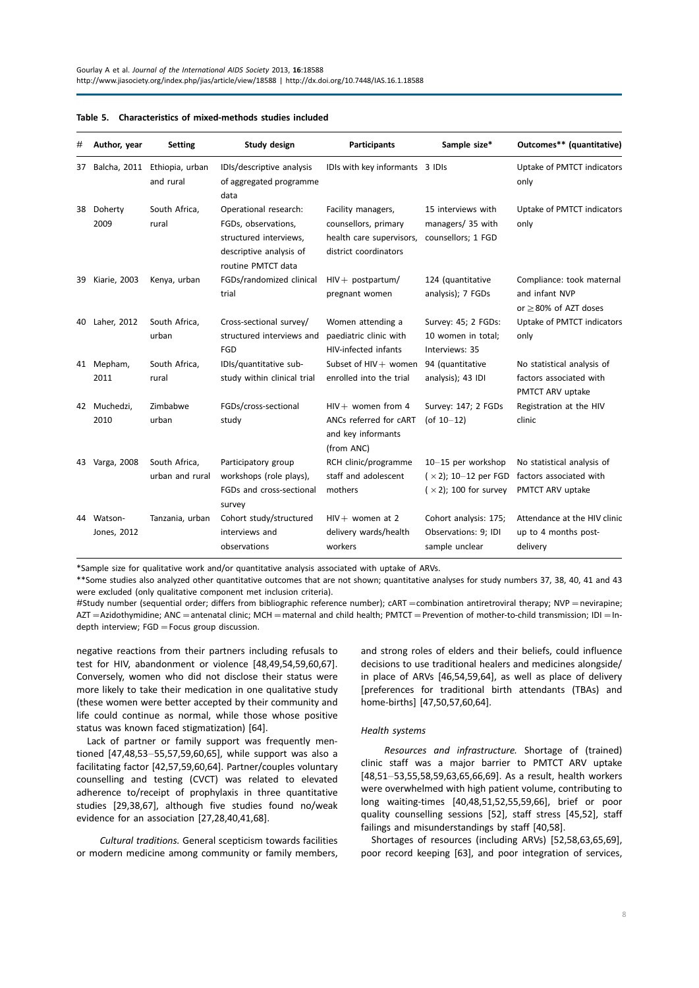| Table 5. Characteristics of mixed-methods studies included |  |  |  |  |
|------------------------------------------------------------|--|--|--|--|
|------------------------------------------------------------|--|--|--|--|

| #   | Author, year              | <b>Setting</b>                            | Study design                                                                                                            | <b>Participants</b>                                                                             | Sample size*                                                                | Outcomes** (quantitative)                                                 |
|-----|---------------------------|-------------------------------------------|-------------------------------------------------------------------------------------------------------------------------|-------------------------------------------------------------------------------------------------|-----------------------------------------------------------------------------|---------------------------------------------------------------------------|
| 37  |                           | Balcha, 2011 Ethiopia, urban<br>and rural | IDIs/descriptive analysis<br>of aggregated programme<br>data                                                            | IDIs with key informants 3 IDIs                                                                 |                                                                             | Uptake of PMTCT indicators<br>only                                        |
|     | 38 Doherty<br>2009        | South Africa,<br>rural                    | Operational research:<br>FGDs, observations,<br>structured interviews,<br>descriptive analysis of<br>routine PMTCT data | Facility managers,<br>counsellors, primary<br>health care supervisors,<br>district coordinators | 15 interviews with<br>managers/35 with<br>counsellors; 1 FGD                | Uptake of PMTCT indicators<br>only                                        |
| 39  | <b>Kiarie, 2003</b>       | Kenya, urban                              | FGDs/randomized clinical<br>trial                                                                                       | $HIV + postpartum/$<br>pregnant women                                                           | 124 (quantitative<br>analysis); 7 FGDs                                      | Compliance: took maternal<br>and infant NVP<br>or $>80\%$ of AZT doses    |
| 40. | Laher, 2012               | South Africa,<br>urban                    | Cross-sectional survey/<br>structured interviews and<br><b>FGD</b>                                                      | Women attending a<br>paediatric clinic with<br>HIV-infected infants                             | Survey: 45; 2 FGDs:<br>10 women in total:<br>Interviews: 35                 | Uptake of PMTCT indicators<br>only                                        |
|     | 41 Mepham,<br>2011        | South Africa,<br>rural                    | IDIs/quantitative sub-<br>study within clinical trial                                                                   | Subset of HIV + women<br>enrolled into the trial                                                | 94 (quantitative<br>analysis); 43 IDI                                       | No statistical analysis of<br>factors associated with<br>PMTCT ARV uptake |
|     | 42 Muchedzi,<br>2010      | Zimbabwe<br>urban                         | FGDs/cross-sectional<br>study                                                                                           | $HIV +$ women from 4<br>ANCs referred for cART<br>and key informants<br>(from ANC)              | Survey: 147; 2 FGDs<br>(of $10 - 12$ )                                      | Registration at the HIV<br>clinic                                         |
| 43  | Varga, 2008               | South Africa,<br>urban and rural          | Participatory group<br>workshops (role plays),<br>FGDs and cross-sectional<br>survey                                    | RCH clinic/programme<br>staff and adolescent<br>mothers                                         | $10-15$ per workshop<br>$(x 2)$ ; 10-12 per FGD<br>$(x 2)$ ; 100 for survey | No statistical analysis of<br>factors associated with<br>PMTCT ARV uptake |
|     | 44 Watson-<br>Jones, 2012 | Tanzania, urban                           | Cohort study/structured<br>interviews and<br>observations                                                               | $HIV +$ women at 2<br>delivery wards/health<br>workers                                          | Cohort analysis: 175;<br>Observations: 9: IDI<br>sample unclear             | Attendance at the HIV clinic<br>up to 4 months post-<br>delivery          |

\*Sample size for qualitative work and/or quantitative analysis associated with uptake of ARVs.

\*\*Some studies also analyzed other quantitative outcomes that are not shown; quantitative analyses for study numbers 37, 38, 40, 41 and 43 were excluded (only qualitative component met inclusion criteria).

#Study number (sequential order; differs from bibliographic reference number); cART = combination antiretroviral therapy; NVP = nevirapine; AZT = Azidothymidine; ANC = antenatal clinic; MCH = maternal and child health; PMTCT = Prevention of mother-to-child transmission; IDI = Indepth interview;  $FGD = Focus$  group discussion.

negative reactions from their partners including refusals to test for HIV, abandonment or violence [48,49,54,59,60,67]. Conversely, women who did not disclose their status were more likely to take their medication in one qualitative study (these women were better accepted by their community and life could continue as normal, while those whose positive status was known faced stigmatization) [64].

Lack of partner or family support was frequently mentioned [47,48,53-55,57,59,60,65], while support was also a facilitating factor [42,57,59,60,64]. Partner/couples voluntary counselling and testing (CVCT) was related to elevated adherence to/receipt of prophylaxis in three quantitative studies [29,38,67], although five studies found no/weak evidence for an association [27,28,40,41,68].

Cultural traditions. General scepticism towards facilities or modern medicine among community or family members,

and strong roles of elders and their beliefs, could influence decisions to use traditional healers and medicines alongside/ in place of ARVs [46,54,59,64], as well as place of delivery [preferences for traditional birth attendants (TBAs) and home-births] [47,50,57,60,64].

# Health systems

Resources and infrastructure. Shortage of (trained) clinic staff was a major barrier to PMTCT ARV uptake [48,51-53,55,58,59,63,65,66,69]. As a result, health workers were overwhelmed with high patient volume, contributing to long waiting-times [40,48,51,52,55,59,66], brief or poor quality counselling sessions [52], staff stress [45,52], staff failings and misunderstandings by staff [40,58].

Shortages of resources (including ARVs) [52,58,63,65,69], poor record keeping [63], and poor integration of services,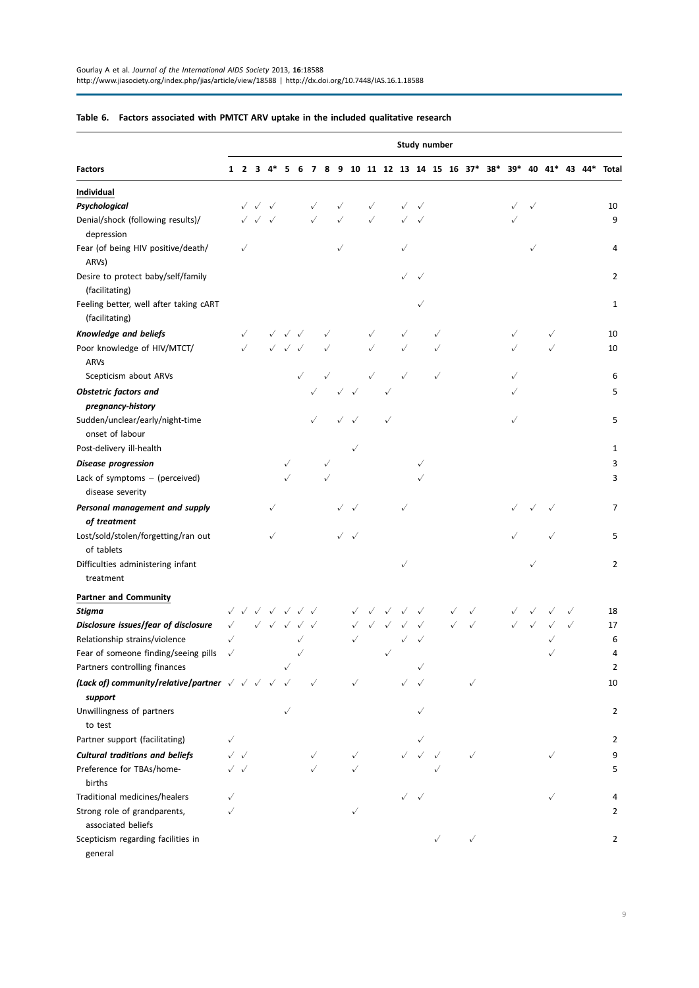# Table 6. Factors associated with PMTCT ARV uptake in the included qualitative research

|                                                            |              |                           |                                                                  |              |              |            |   |                           |              |              |              | Study number |   |                                |     |       |              |        |    |     |                |
|------------------------------------------------------------|--------------|---------------------------|------------------------------------------------------------------|--------------|--------------|------------|---|---------------------------|--------------|--------------|--------------|--------------|---|--------------------------------|-----|-------|--------------|--------|----|-----|----------------|
| <b>Factors</b>                                             |              |                           | $1 \t2 \t3 \t4^*$                                                | - 5          | - 6          |            |   |                           |              |              |              |              |   | 7 8 9 10 11 12 13 14 15 16 37* | 38* | $39*$ |              | 40 41* | 43 | 44* | Total          |
| Individual                                                 |              |                           |                                                                  |              |              |            |   |                           |              |              |              |              |   |                                |     |       |              |        |    |     |                |
| Psychological                                              |              |                           | $\checkmark$                                                     |              |              |            | ✓ |                           |              |              |              |              |   |                                |     |       |              |        |    |     | 10             |
| Denial/shock (following results)/<br>depression            |              |                           | $\checkmark$                                                     |              |              | ✓          |   |                           | $\checkmark$ |              |              |              |   |                                |     |       |              |        |    |     | 9              |
| Fear (of being HIV positive/death/<br>ARVs)                |              |                           |                                                                  |              |              |            | ✓ |                           |              |              | ✓            |              |   |                                |     |       | $\checkmark$ |        |    |     | 4              |
| Desire to protect baby/self/family<br>(facilitating)       |              |                           |                                                                  |              |              |            |   |                           |              |              |              |              |   |                                |     |       |              |        |    |     | 2              |
| Feeling better, well after taking cART<br>(facilitating)   |              |                           |                                                                  |              |              |            |   |                           |              |              |              | ✓            |   |                                |     |       |              |        |    |     | $\mathbf{1}$   |
| Knowledge and beliefs                                      |              | $\checkmark$              |                                                                  |              |              |            |   |                           |              |              | $\checkmark$ |              |   |                                |     | ✓     |              | ✓      |    |     | 10             |
| Poor knowledge of HIV/MTCT/<br>ARVs                        |              |                           |                                                                  |              |              |            |   |                           |              |              | ✓            |              |   |                                |     |       |              |        |    |     | 10             |
| Scepticism about ARVs                                      |              |                           |                                                                  |              |              |            |   |                           |              |              |              |              |   |                                |     |       |              |        |    |     | 6              |
| Obstetric factors and                                      |              |                           |                                                                  |              |              |            |   | $\checkmark$              |              |              |              |              |   |                                |     |       |              |        |    |     | 5              |
| pregnancy-history<br>Sudden/unclear/early/night-time       |              |                           |                                                                  |              |              |            |   |                           |              | $\checkmark$ |              |              |   |                                |     | ✓     |              |        |    |     | 5              |
| onset of labour                                            |              |                           |                                                                  |              |              |            |   |                           |              |              |              |              |   |                                |     |       |              |        |    |     |                |
| Post-delivery ill-health                                   |              |                           |                                                                  |              |              |            |   | ✓                         |              |              |              |              |   |                                |     |       |              |        |    |     | 1              |
| <b>Disease progression</b>                                 |              |                           |                                                                  | $\checkmark$ |              |            |   |                           |              |              |              | ✓            |   |                                |     |       |              |        |    |     | 3              |
| Lack of symptoms $-$ (perceived)<br>disease severity       |              |                           |                                                                  |              |              |            |   |                           |              |              |              |              |   |                                |     |       |              |        |    |     | 3              |
| Personal management and supply<br>of treatment             |              |                           | ✓                                                                |              |              |            |   | $\checkmark$              |              |              | ✓            |              |   |                                |     |       |              |        |    |     | 7              |
| Lost/sold/stolen/forgetting/ran out<br>of tablets          |              |                           | ✓                                                                |              |              |            |   | $\checkmark$ $\checkmark$ |              |              |              |              |   |                                |     |       |              |        |    |     | 5              |
| Difficulties administering infant<br>treatment             |              |                           |                                                                  |              |              |            |   |                           |              |              | ✓            |              |   |                                |     |       |              |        |    |     | 2              |
| <b>Partner and Community</b><br>Stigma                     |              |                           | $\checkmark$ $\checkmark$ $\checkmark$ $\checkmark$ $\checkmark$ |              |              |            |   |                           |              |              |              |              |   |                                |     |       |              |        |    |     | 18             |
| Disclosure issues/fear of disclosure                       | $\checkmark$ |                           |                                                                  | $\checkmark$ |              | $\sqrt{ }$ |   |                           |              |              |              |              |   | $\checkmark$                   |     |       |              |        |    |     | 17             |
| Relationship strains/violence                              | $\checkmark$ |                           |                                                                  |              | $\checkmark$ |            |   | $\checkmark$              |              |              |              |              |   |                                |     |       |              |        |    |     | 6              |
| Fear of someone finding/seeing pills                       | $\checkmark$ |                           |                                                                  |              | ✓            |            |   |                           |              | ✓            |              |              |   |                                |     |       |              |        |    |     | 4              |
| Partners controlling finances                              |              |                           |                                                                  | $\checkmark$ |              |            |   |                           |              |              |              | $\checkmark$ |   |                                |     |       |              |        |    |     | $\overline{2}$ |
| (Lack of) community/relative/partner $\sqrt{2}$<br>support |              |                           | $\checkmark$                                                     |              |              |            |   | $\checkmark$              |              |              | ✓            |              |   | $\checkmark$                   |     |       |              |        |    |     | 10             |
| Unwillingness of partners                                  |              |                           |                                                                  | $\checkmark$ |              |            |   |                           |              |              |              | ✓            |   |                                |     |       |              |        |    |     | 2              |
| to test                                                    |              |                           |                                                                  |              |              |            |   |                           |              |              |              |              |   |                                |     |       |              |        |    |     |                |
| Partner support (facilitating)                             | ✓            |                           |                                                                  |              |              |            |   |                           |              |              |              |              |   |                                |     |       |              |        |    |     | 2              |
| <b>Cultural traditions and beliefs</b>                     |              | $\checkmark$ $\checkmark$ |                                                                  |              |              |            |   | $\checkmark$              |              |              |              |              |   | $\checkmark$                   |     |       |              | ✓      |    |     | 9              |
| Preference for TBAs/home-<br>births                        |              |                           |                                                                  |              |              |            |   |                           |              |              |              |              |   |                                |     |       |              |        |    |     | 5              |
| Traditional medicines/healers                              | $\checkmark$ |                           |                                                                  |              |              |            |   |                           |              |              |              |              |   |                                |     |       |              |        |    |     | 4              |
| Strong role of grandparents,<br>associated beliefs         |              |                           |                                                                  |              |              |            |   | ✓                         |              |              |              |              |   |                                |     |       |              |        |    |     | 2              |
| Scepticism regarding facilities in<br>general              |              |                           |                                                                  |              |              |            |   |                           |              |              |              |              | ✓ | $\checkmark$                   |     |       |              |        |    |     | 2              |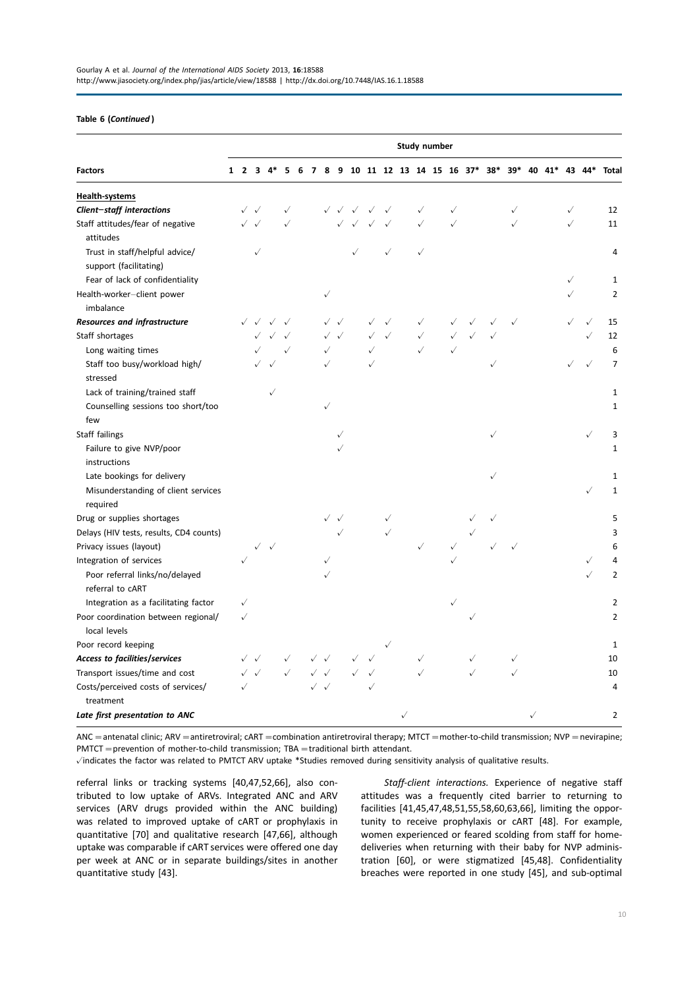# Table 6 (Continued )

|                                                          |   |              |              |              |  |              |                           |   |  |              | Study number |   |                                               |   |              |               |   |   |                |
|----------------------------------------------------------|---|--------------|--------------|--------------|--|--------------|---------------------------|---|--|--------------|--------------|---|-----------------------------------------------|---|--------------|---------------|---|---|----------------|
| <b>Factors</b>                                           |   |              |              |              |  |              |                           |   |  |              |              |   | 1 2 3 4 * 5 6 7 8 9 10 11 12 13 14 15 16 37 * |   | 38* 39*      | 40 41* 43 44* |   |   | <b>Total</b>   |
| <b>Health-systems</b>                                    |   |              |              |              |  |              |                           |   |  |              |              |   |                                               |   |              |               |   |   |                |
| Client-staff interactions                                | ✓ | $\checkmark$ |              | ✓            |  |              | $\checkmark$ $\checkmark$ |   |  |              |              | ✓ |                                               |   | $\checkmark$ |               | ✓ |   | 12             |
| Staff attitudes/fear of negative<br>attitudes            |   |              |              | ✓            |  |              |                           |   |  | ✓            |              |   |                                               |   |              |               |   |   | 11             |
| Trust in staff/helpful advice/<br>support (facilitating) |   | √            |              |              |  |              |                           |   |  | $\checkmark$ |              |   |                                               |   |              |               |   |   | $\overline{4}$ |
| Fear of lack of confidentiality                          |   |              |              |              |  |              |                           |   |  |              |              |   |                                               |   |              |               |   |   | $\mathbf{1}$   |
| Health-worker-client power                               |   |              |              |              |  | $\checkmark$ |                           |   |  |              |              |   |                                               |   |              |               |   |   | $\overline{2}$ |
| imbalance                                                |   |              |              |              |  |              |                           |   |  |              |              |   |                                               |   |              |               |   |   |                |
| Resources and infrastructure                             |   |              |              |              |  |              |                           |   |  |              |              |   |                                               |   |              |               |   | √ | 15             |
| Staff shortages                                          |   |              |              | $\checkmark$ |  |              |                           |   |  | ✓            |              |   |                                               |   |              |               |   | ✓ | 12             |
| Long waiting times                                       |   |              |              |              |  |              |                           |   |  |              |              |   |                                               |   |              |               |   |   | 6              |
| Staff too busy/workload high/<br>stressed                |   |              |              |              |  |              |                           |   |  |              |              |   |                                               |   |              |               |   |   | $\overline{7}$ |
| Lack of training/trained staff                           |   |              | $\checkmark$ |              |  |              |                           |   |  |              |              |   |                                               |   |              |               |   |   | $\mathbf{1}$   |
| Counselling sessions too short/too<br>few                |   |              |              |              |  | $\checkmark$ |                           |   |  |              |              |   |                                               |   |              |               |   |   | $\mathbf{1}$   |
| Staff failings                                           |   |              |              |              |  |              |                           |   |  |              |              |   |                                               | ✓ |              |               |   |   | 3              |
| Failure to give NVP/poor                                 |   |              |              |              |  |              |                           |   |  |              |              |   |                                               |   |              |               |   |   | $\mathbf{1}$   |
| instructions                                             |   |              |              |              |  |              |                           |   |  |              |              |   |                                               |   |              |               |   |   |                |
| Late bookings for delivery                               |   |              |              |              |  |              |                           |   |  |              |              |   |                                               |   |              |               |   |   | 1              |
| Misunderstanding of client services                      |   |              |              |              |  |              |                           |   |  |              |              |   |                                               |   |              |               |   |   | $\mathbf{1}$   |
| required                                                 |   |              |              |              |  |              |                           |   |  |              |              |   |                                               |   |              |               |   |   |                |
| Drug or supplies shortages                               |   |              |              |              |  |              | $\checkmark$              |   |  |              |              |   |                                               |   |              |               |   |   | 5              |
| Delays (HIV tests, results, CD4 counts)                  |   |              |              |              |  |              |                           |   |  |              |              |   |                                               |   |              |               |   |   | 3              |
| Privacy issues (layout)                                  |   |              | $\checkmark$ |              |  |              |                           |   |  |              |              |   |                                               |   |              |               |   |   | 6              |
| Integration of services                                  |   |              |              |              |  |              |                           |   |  |              |              |   |                                               |   |              |               |   |   | 4              |
| Poor referral links/no/delayed                           |   |              |              |              |  |              |                           |   |  |              |              |   |                                               |   |              |               |   |   | $\overline{2}$ |
| referral to cART                                         |   |              |              |              |  |              |                           |   |  |              |              |   |                                               |   |              |               |   |   |                |
| Integration as a facilitating factor                     | ✓ |              |              |              |  |              |                           |   |  |              |              |   |                                               |   |              |               |   |   | 2              |
| Poor coordination between regional/                      | √ |              |              |              |  |              |                           |   |  |              |              |   |                                               |   |              |               |   |   | $\overline{2}$ |
| local levels                                             |   |              |              |              |  |              |                           |   |  |              |              |   |                                               |   |              |               |   |   |                |
| Poor record keeping                                      |   |              |              |              |  |              |                           |   |  |              |              |   |                                               |   |              |               |   |   | $\mathbf{1}$   |
| Access to facilities/services                            |   |              |              | ✓            |  |              |                           | ✓ |  | ✓            |              |   | ✓                                             |   |              |               |   |   | 10             |
| Transport issues/time and cost                           |   |              |              | $\checkmark$ |  |              |                           |   |  |              |              |   |                                               |   |              |               |   |   | 10             |
| Costs/perceived costs of services/                       |   |              |              |              |  |              |                           |   |  |              |              |   |                                               |   |              |               |   |   | 4              |
| treatment                                                |   |              |              |              |  |              |                           |   |  |              |              |   |                                               |   |              |               |   |   |                |
| Late first presentation to ANC                           |   |              |              |              |  |              |                           |   |  |              |              |   |                                               |   |              |               |   |   | $\overline{2}$ |

ANC = antenatal clinic; ARV = antiretroviral; cART = combination antiretroviral therapy; MTCT = mother-to-child transmission; NVP = nevirapine;  $PMTCT =$ prevention of mother-to-child transmission; TBA = traditional birth attendant.

 $\sqrt{2}$ indicates the factor was related to PMTCT ARV uptake \*Studies removed during sensitivity analysis of qualitative results.

referral links or tracking systems [40,47,52,66], also contributed to low uptake of ARVs. Integrated ANC and ARV services (ARV drugs provided within the ANC building) was related to improved uptake of cART or prophylaxis in quantitative [70] and qualitative research [47,66], although uptake was comparable if cART services were offered one day per week at ANC or in separate buildings/sites in another quantitative study [43].

Staff-client interactions. Experience of negative staff attitudes was a frequently cited barrier to returning to facilities [41,45,47,48,51,55,58,60,63,66], limiting the opportunity to receive prophylaxis or cART [48]. For example, women experienced or feared scolding from staff for homedeliveries when returning with their baby for NVP administration [60], or were stigmatized [45,48]. Confidentiality breaches were reported in one study [45], and sub-optimal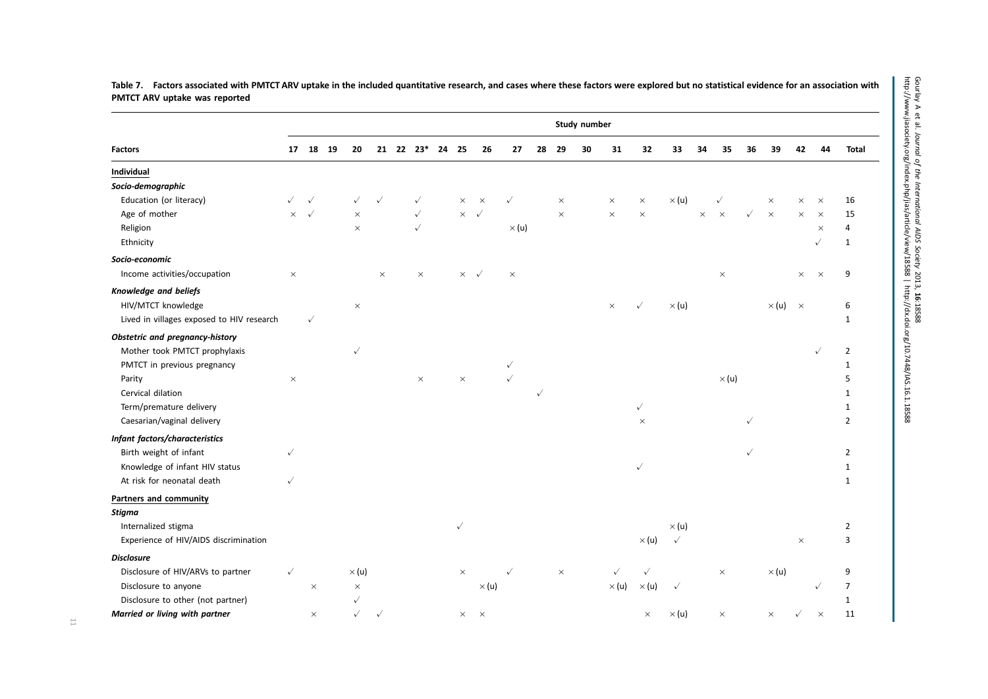|                                           |              |              |    |              |              |                 |       |                  |                                 |              |    |          | Study number |              |              |              |          |              |              |              |              |              |                |
|-------------------------------------------|--------------|--------------|----|--------------|--------------|-----------------|-------|------------------|---------------------------------|--------------|----|----------|--------------|--------------|--------------|--------------|----------|--------------|--------------|--------------|--------------|--------------|----------------|
| <b>Factors</b>                            | 17           | 18           | 19 | 20           |              | $21$ $22$ $23*$ | 24 25 |                  | 26                              | 27           | 28 | 29       | 30           | 31           | 32           | 33           | 34       | 35           | 36           | 39           | 42           | 44           | Total          |
| Individual                                |              |              |    |              |              |                 |       |                  |                                 |              |    |          |              |              |              |              |          |              |              |              |              |              |                |
| Socio-demographic                         |              |              |    |              |              |                 |       |                  |                                 |              |    |          |              |              |              |              |          |              |              |              |              |              |                |
| Education (or literacy)                   | $\checkmark$ | $\checkmark$ |    |              | $\checkmark$ | $\checkmark$    |       | $\times$         | $\times$                        | $\checkmark$ |    | $\times$ |              | $\times$     | $\times$     | $\times$ (u) |          | $\checkmark$ |              | $\times$     | $\times$     | $\times$     | 16             |
| Age of mother                             | $\times$     | $\checkmark$ |    | $\times$     |              | $\checkmark$    |       | $\times$ $\sqrt$ |                                 |              |    | $\times$ |              | $\times$     | $\times$     |              | $\times$ | $\times$     | $\checkmark$ | $\times$     | $\times$     | $\times$     | 15             |
| Religion                                  |              |              |    | $\times$     |              | $\checkmark$    |       |                  |                                 | $\times$ (u) |    |          |              |              |              |              |          |              |              |              |              | $\times$     | 4              |
| Ethnicity                                 |              |              |    |              |              |                 |       |                  |                                 |              |    |          |              |              |              |              |          |              |              |              |              | $\checkmark$ | $\mathbf{1}$   |
| Socio-economic                            |              |              |    |              |              |                 |       |                  |                                 |              |    |          |              |              |              |              |          |              |              |              |              |              |                |
| Income activities/occupation              | $\times$     |              |    |              | $\times$     | $\times$        |       | $\times$ $\sqrt$ |                                 | $\times$     |    |          |              |              |              |              |          | $\times$     |              |              | $\times$     | $\times$     | 9              |
| Knowledge and beliefs                     |              |              |    |              |              |                 |       |                  |                                 |              |    |          |              |              |              |              |          |              |              |              |              |              |                |
| HIV/MTCT knowledge                        |              |              |    | $\times$     |              |                 |       |                  |                                 |              |    |          |              | $\times$     |              | $\times$ (u) |          |              |              | $\times$ (u) | $\mathsf{X}$ |              | 6              |
| Lived in villages exposed to HIV research |              | $\checkmark$ |    |              |              |                 |       |                  |                                 |              |    |          |              |              |              |              |          |              |              |              |              |              | 1              |
| <b>Obstetric and pregnancy-history</b>    |              |              |    |              |              |                 |       |                  |                                 |              |    |          |              |              |              |              |          |              |              |              |              |              |                |
| Mother took PMTCT prophylaxis             |              |              |    | $\checkmark$ |              |                 |       |                  |                                 |              |    |          |              |              |              |              |          |              |              |              |              | $\checkmark$ | $\overline{2}$ |
| PMTCT in previous pregnancy               |              |              |    |              |              |                 |       |                  |                                 | $\checkmark$ |    |          |              |              |              |              |          |              |              |              |              |              | 1              |
| Parity                                    | $\times$     |              |    |              |              | $\times$        |       | $\times$         |                                 | $\checkmark$ |    |          |              |              |              |              |          | $\times$ (u) |              |              |              |              | 5              |
| Cervical dilation                         |              |              |    |              |              |                 |       |                  |                                 |              |    |          |              |              |              |              |          |              |              |              |              |              | 1              |
| Term/premature delivery                   |              |              |    |              |              |                 |       |                  |                                 |              |    |          |              |              | $\checkmark$ |              |          |              |              |              |              |              | 1              |
| Caesarian/vaginal delivery                |              |              |    |              |              |                 |       |                  |                                 |              |    |          |              |              | $\times$     |              |          |              | $\checkmark$ |              |              |              | $\overline{2}$ |
| Infant factors/characteristics            |              |              |    |              |              |                 |       |                  |                                 |              |    |          |              |              |              |              |          |              |              |              |              |              |                |
| Birth weight of infant                    | √            |              |    |              |              |                 |       |                  |                                 |              |    |          |              |              |              |              |          |              | ✓            |              |              |              | $\overline{2}$ |
| Knowledge of infant HIV status            |              |              |    |              |              |                 |       |                  |                                 |              |    |          |              |              | $\checkmark$ |              |          |              |              |              |              |              | 1              |
| At risk for neonatal death                | $\checkmark$ |              |    |              |              |                 |       |                  |                                 |              |    |          |              |              |              |              |          |              |              |              |              |              | $\mathbf{1}$   |
| Partners and community                    |              |              |    |              |              |                 |       |                  |                                 |              |    |          |              |              |              |              |          |              |              |              |              |              |                |
| <b>Stigma</b>                             |              |              |    |              |              |                 |       |                  |                                 |              |    |          |              |              |              |              |          |              |              |              |              |              |                |
| Internalized stigma                       |              |              |    |              |              |                 |       | ✓                |                                 |              |    |          |              |              |              | $\times$ (u) |          |              |              |              |              |              | 2              |
| Experience of HIV/AIDS discrimination     |              |              |    |              |              |                 |       |                  |                                 |              |    |          |              |              | $\times$ (u) | $\checkmark$ |          |              |              |              | $\times$     |              | 3              |
| <b>Disclosure</b>                         |              |              |    |              |              |                 |       |                  |                                 |              |    |          |              |              |              |              |          |              |              |              |              |              |                |
| Disclosure of HIV/ARVs to partner         | $\checkmark$ |              |    | $\times$ (u) |              |                 |       | $\times$         |                                 |              |    | $\times$ |              |              | √            |              |          | $\times$     |              | $\times$ (u) |              |              | q              |
| Disclosure to anyone                      |              | $\times$     |    | $\times$     |              |                 |       |                  | $\times$ (u)                    |              |    |          |              | $\times$ (u) | $\times$ (u) | $\checkmark$ |          |              |              |              |              | $\checkmark$ | $\overline{7}$ |
| Disclosure to other (not partner)         |              |              |    | $\checkmark$ |              |                 |       |                  |                                 |              |    |          |              |              |              |              |          |              |              |              |              |              | $\mathbf{1}$   |
| Married or living with partner            |              | $\times$     |    | $\checkmark$ | $\checkmark$ |                 |       |                  | $\times$ $\phantom{0}$ $\times$ |              |    |          |              |              | $\times$     | $\times$ (u) |          | $\times$     |              | $\times$     | ✓            | $\times$     | 11             |

Table 7. Factors associated with PMTCT ARV uptake in the included quantitative research, and cases where these factors were explored but no statistical evidence for an association with PMTCT ARV uptake was reported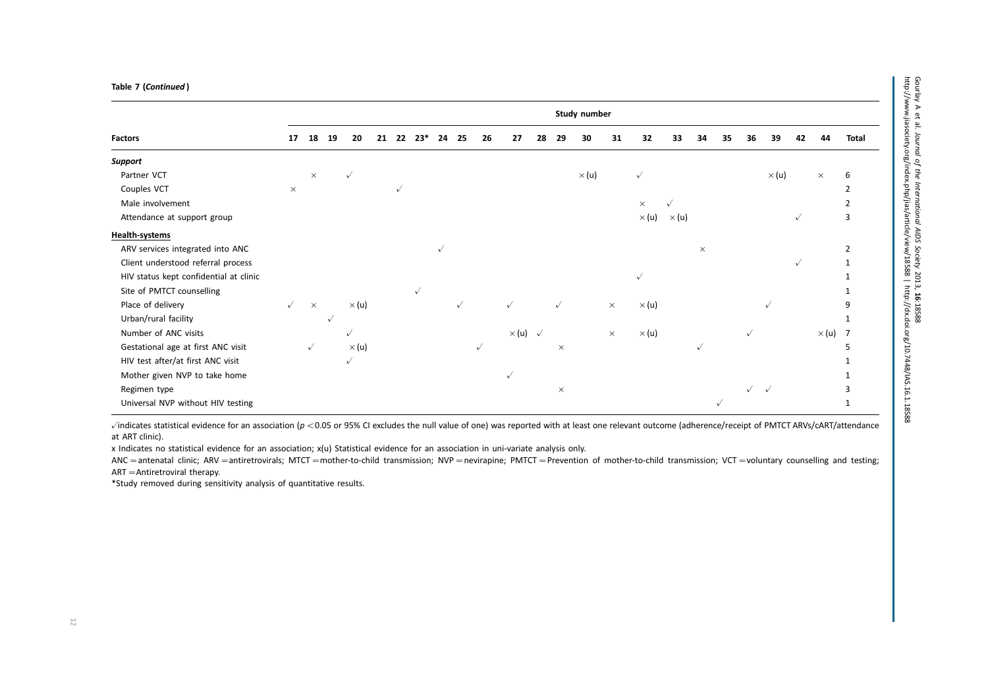|                                        |              |              |              |              |    |              |              |    |              |            |                           |    |              | Study number |          |              |              |              |    |              |              |              |                |              |
|----------------------------------------|--------------|--------------|--------------|--------------|----|--------------|--------------|----|--------------|------------|---------------------------|----|--------------|--------------|----------|--------------|--------------|--------------|----|--------------|--------------|--------------|----------------|--------------|
| <b>Factors</b>                         | 17           | 18           | 19           | 20           | 21 | 22           | $23*$        | 24 | 25           | 26         | 27                        | 28 | 29           | 30           | 31       | 32           | 33           | 34           | 35 | 36           | 39           | 42           | 44             | <b>Total</b> |
| <b>Support</b>                         |              |              |              |              |    |              |              |    |              |            |                           |    |              |              |          |              |              |              |    |              |              |              |                |              |
| Partner VCT                            |              | $\times$     |              | $\checkmark$ |    |              |              |    |              |            |                           |    |              | $\times$ (u) |          | $\checkmark$ |              |              |    |              | $\times$ (u) |              | $\times$       | 6            |
| Couples VCT                            | $\times$     |              |              |              |    | $\checkmark$ |              |    |              |            |                           |    |              |              |          |              |              |              |    |              |              |              |                |              |
| Male involvement                       |              |              |              |              |    |              |              |    |              |            |                           |    |              |              |          | $\times$     |              |              |    |              |              |              |                |              |
| Attendance at support group            |              |              |              |              |    |              |              |    |              |            |                           |    |              |              |          | $\times$ (u) | $\times$ (u) |              |    |              |              | $\checkmark$ |                | ٦            |
| <b>Health-systems</b>                  |              |              |              |              |    |              |              |    |              |            |                           |    |              |              |          |              |              |              |    |              |              |              |                |              |
| ARV services integrated into ANC       |              |              |              |              |    |              |              |    |              |            |                           |    |              |              |          |              |              | $\times$     |    |              |              |              |                |              |
| Client understood referral process     |              |              |              |              |    |              |              |    |              |            |                           |    |              |              |          |              |              |              |    |              |              | $\checkmark$ |                |              |
| HIV status kept confidential at clinic |              |              |              |              |    |              |              |    |              |            |                           |    |              |              |          | $\sqrt{ }$   |              |              |    |              |              |              |                |              |
| Site of PMTCT counselling              |              |              |              |              |    |              | $\checkmark$ |    |              |            |                           |    |              |              |          |              |              |              |    |              |              |              |                |              |
| Place of delivery                      | $\checkmark$ | $\times$     |              | $\times$ (u) |    |              |              |    | $\checkmark$ |            | $\checkmark$              |    | $\checkmark$ |              | $\times$ | $\times$ (u) |              |              |    |              | $\checkmark$ |              |                |              |
| Urban/rural facility                   |              |              | $\checkmark$ |              |    |              |              |    |              |            |                           |    |              |              |          |              |              |              |    |              |              |              |                |              |
| Number of ANC visits                   |              |              |              |              |    |              |              |    |              |            | $\times$ (u) $\checkmark$ |    |              |              | $\times$ | $\times$ (u) |              |              |    | $\checkmark$ |              |              | $\times$ (u) 7 |              |
| Gestational age at first ANC visit     |              | $\checkmark$ |              | $\times$ (u) |    |              |              |    |              | $\sqrt{2}$ |                           |    | $\times$     |              |          |              |              | $\checkmark$ |    |              |              |              |                |              |
| HIV test after/at first ANC visit      |              |              |              |              |    |              |              |    |              |            |                           |    |              |              |          |              |              |              |    |              |              |              |                |              |
| Mother given NVP to take home          |              |              |              |              |    |              |              |    |              |            | $\checkmark$              |    |              |              |          |              |              |              |    |              |              |              |                |              |
| Regimen type                           |              |              |              |              |    |              |              |    |              |            |                           |    | $\times$     |              |          |              |              |              |    | $\checkmark$ |              |              |                |              |
| Universal NVP without HIV testing      |              |              |              |              |    |              |              |    |              |            |                           |    |              |              |          |              |              |              |    |              |              |              |                |              |

 $\sqrt{2}$ indicates statistical evidence for an association (p<0.05 or 95% CI excludes the null value of one) was reported with at least one relevant outcome (adherence/receipt of PMTCT ARVs/cART/attendance at ART clinic).

<sup>x</sup> Indicates no statistical evidence for an association; x(u) Statistical evidence for an association in uni-variate analysis only.

ANC = antenatal clinic; ARV = antiretrovirals; MTCT = mother-to-child transmission; NVP = nevirapine; PMTCT = Prevention of mother-to-child transmission; VCT = voluntary counselling and testing;  $ART =$ Antiretroviral therapy.

\*Study removed during sensitivity analysis of quantitative results.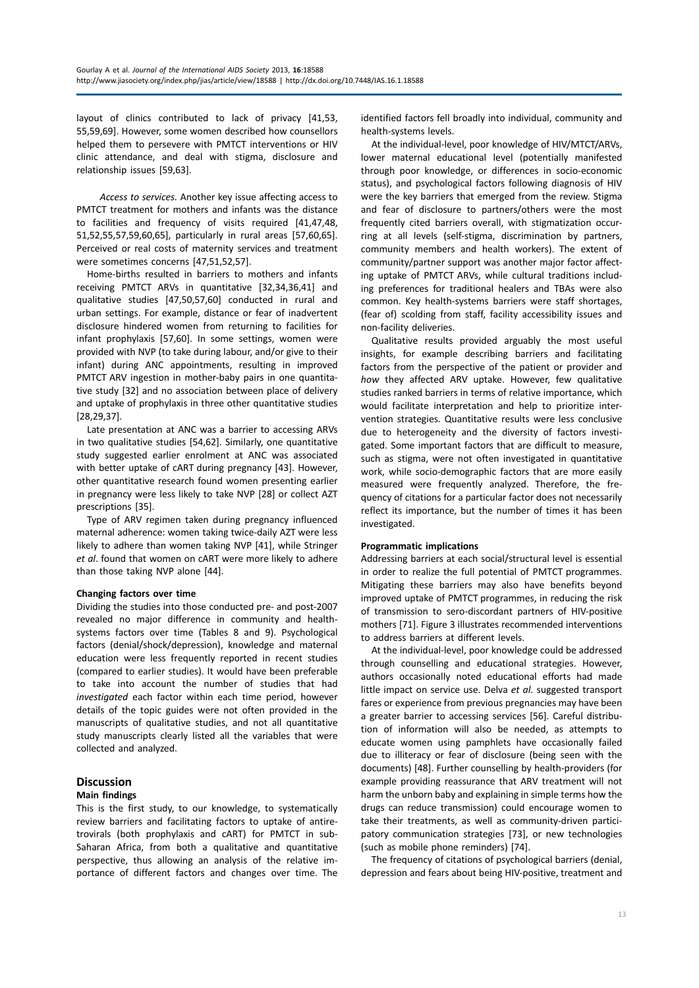layout of clinics contributed to lack of privacy [41,53, 55,59,69]. However, some women described how counsellors [helped](http://www.jiasociety.org/index.php/jias/article/view/18588) [them](http://www.jiasociety.org/index.php/jias/article/view/18588) [to](http://www.jiasociety.org/index.php/jias/article/view/18588) [persevere](http://www.jiasociety.org/index.php/jias/article/view/18588) [with](http://www.jiasociety.org/index.php/jias/article/view/18588) [PMTCT](http://www.jiasociety.org/index.php/jias/article/view/18588) [interve](http://www.jiasociety.org/index.php/jias/article/view/18588)[ntions](http://dx.doi.org/10.7448/IAS.16.1.18588) [or](http://dx.doi.org/10.7448/IAS.16.1.18588) [HIV](http://dx.doi.org/10.7448/IAS.16.1.18588) clinic attendance, and deal with stigma, disclosure and relationship issues [59,63].

Access to services. Another key issue affecting access to PMTCT treatment for mothers and infants was the distance to facilities and frequency of visits required [41,47,48, 51,52,55,57,59,60,65], particularly in rural areas [57,60,65]. Perceived or real costs of maternity services and treatment were sometimes concerns [47,51,52,57].

Home-births resulted in barriers to mothers and infants receiving PMTCT ARVs in quantitative [32,34,36,41] and qualitative studies [47,50,57,60] conducted in rural and urban settings. For example, distance or fear of inadvertent disclosure hindered women from returning to facilities for infant prophylaxis [57,60]. In some settings, women were provided with NVP (to take during labour, and/or give to their infant) during ANC appointments, resulting in improved PMTCT ARV ingestion in mother-baby pairs in one quantitative study [32] and no association between place of delivery and uptake of prophylaxis in three other quantitative studies [28,29,37].

Late presentation at ANC was a barrier to accessing ARVs in two qualitative studies [54,62]. Similarly, one quantitative study suggested earlier enrolment at ANC was associated with better uptake of cART during pregnancy [43]. However, other quantitative research found women presenting earlier in pregnancy were less likely to take NVP [28] or collect AZT prescriptions [35].

Type of ARV regimen taken during pregnancy influenced maternal adherence: women taking twice-daily AZT were less likely to adhere than women taking NVP [41], while Stringer et al. found that women on cART were more likely to adhere than those taking NVP alone [44].

# Changing factors over time

Dividing the studies into those conducted pre- and post-2007 revealed no major difference in community and healthsystems factors over time (Tables 8 and 9). Psychological factors (denial/shock/depression), knowledge and maternal education were less frequently reported in recent studies (compared to earlier studies). It would have been preferable to take into account the number of studies that had investigated each factor within each time period, however details of the topic guides were not often provided in the manuscripts of qualitative studies, and not all quantitative study manuscripts clearly listed all the variables that were collected and analyzed.

# Discussion

# Main findings

This is the first study, to our knowledge, to systematically review barriers and facilitating factors to uptake of antiretrovirals (both prophylaxis and cART) for PMTCT in sub-Saharan Africa, from both a qualitative and quantitative perspective, thus allowing an analysis of the relative importance of different factors and changes over time. The

identified factors fell broadly into individual, community and health-systems levels.

At the individual-level, poor knowledge of HIV/MTCT/ARVs, lower maternal educational level (potentially manifested through poor knowledge, or differences in socio-economic status), and psychological factors following diagnosis of HIV were the key barriers that emerged from the review. Stigma and fear of disclosure to partners/others were the most frequently cited barriers overall, with stigmatization occurring at all levels (self-stigma, discrimination by partners, community members and health workers). The extent of community/partner support was another major factor affecting uptake of PMTCT ARVs, while cultural traditions including preferences for traditional healers and TBAs were also common. Key health-systems barriers were staff shortages, (fear of) scolding from staff, facility accessibility issues and non-facility deliveries.

Qualitative results provided arguably the most useful insights, for example describing barriers and facilitating factors from the perspective of the patient or provider and how they affected ARV uptake. However, few qualitative studies ranked barriers in terms of relative importance, which would facilitate interpretation and help to prioritize intervention strategies. Quantitative results were less conclusive due to heterogeneity and the diversity of factors investigated. Some important factors that are difficult to measure, such as stigma, were not often investigated in quantitative work, while socio-demographic factors that are more easily measured were frequently analyzed. Therefore, the frequency of citations for a particular factor does not necessarily reflect its importance, but the number of times it has been investigated.

### Programmatic implications

Addressing barriers at each social/structural level is essential in order to realize the full potential of PMTCT programmes. Mitigating these barriers may also have benefits beyond improved uptake of PMTCT programmes, in reducing the risk of transmission to sero-discordant partners of HIV-positive mothers [71]. Figure 3 illustrates recommended interventions to address barriers at different levels.

At the individual-level, poor knowledge could be addressed through counselling and educational strategies. However, authors occasionally noted educational efforts had made little impact on service use. Delva et al. suggested transport fares or experience from previous pregnancies may have been a greater barrier to accessing services [56]. Careful distribution of information will also be needed, as attempts to educate women using pamphlets have occasionally failed due to illiteracy or fear of disclosure (being seen with the documents) [48]. Further counselling by health-providers (for example providing reassurance that ARV treatment will not harm the unborn baby and explaining in simple terms how the drugs can reduce transmission) could encourage women to take their treatments, as well as community-driven participatory communication strategies [73], or new technologies (such as mobile phone reminders) [74].

The frequency of citations of psychological barriers (denial, depression and fears about being HIV-positive, treatment and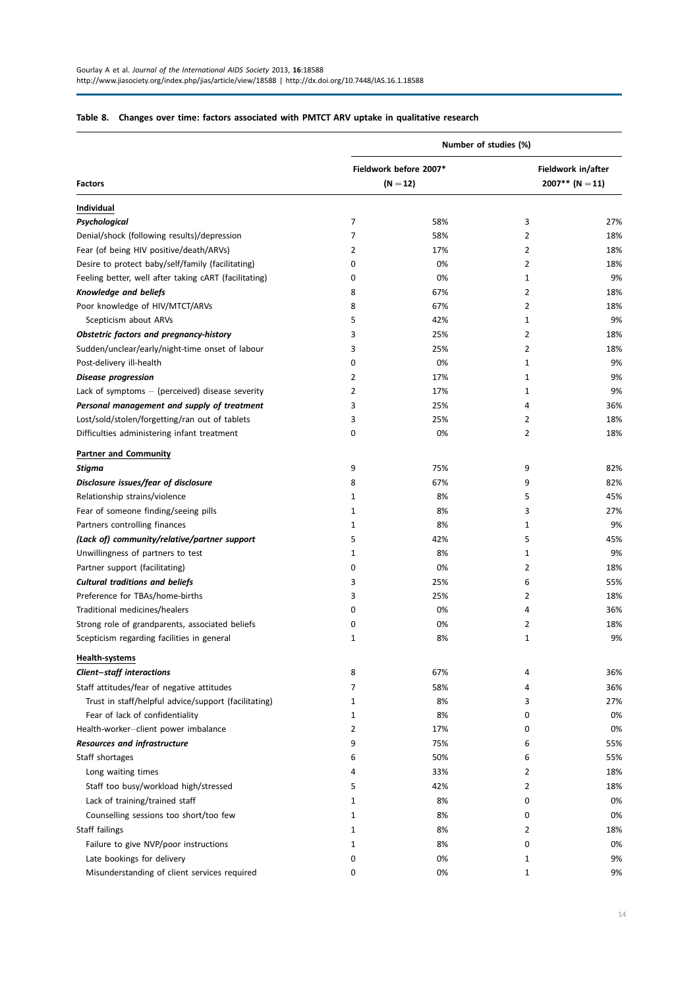# Table 8. Changes over time: factors associated with PMTCT ARV uptake in qualitative research

|                                                       |              |                                      | Number of studies (%) |                                         |
|-------------------------------------------------------|--------------|--------------------------------------|-----------------------|-----------------------------------------|
| <b>Factors</b>                                        |              | Fieldwork before 2007*<br>$(N = 12)$ |                       | Fieldwork in/after<br>$2007**$ (N = 11) |
|                                                       |              |                                      |                       |                                         |
| Individual<br>Psychological                           | 7            | 58%                                  | 3                     | 27%                                     |
| Denial/shock (following results)/depression           | 7            | 58%                                  | $\overline{2}$        | 18%                                     |
| Fear (of being HIV positive/death/ARVs)               | 2            | 17%                                  | 2                     | 18%                                     |
| Desire to protect baby/self/family (facilitating)     | 0            | 0%                                   | 2                     | 18%                                     |
| Feeling better, well after taking cART (facilitating) | 0            | 0%                                   | 1                     | 9%                                      |
| <b>Knowledge and beliefs</b>                          | 8            | 67%                                  | 2                     | 18%                                     |
| Poor knowledge of HIV/MTCT/ARVs                       | 8            | 67%                                  | 2                     | 18%                                     |
| Scepticism about ARVs                                 | 5            | 42%                                  | $\mathbf{1}$          | 9%                                      |
| Obstetric factors and pregnancy-history               | 3            | 25%                                  | 2                     | 18%                                     |
| Sudden/unclear/early/night-time onset of labour       | 3            | 25%                                  | 2                     | 18%                                     |
| Post-delivery ill-health                              | 0            | 0%                                   | 1                     | 9%                                      |
| <b>Disease progression</b>                            | 2            | 17%                                  | 1                     | 9%                                      |
| Lack of symptoms $-$ (perceived) disease severity     | 2            | 17%                                  | 1                     | 9%                                      |
| Personal management and supply of treatment           | 3            | 25%                                  | 4                     | 36%                                     |
| Lost/sold/stolen/forgetting/ran out of tablets        | 3            | 25%                                  | 2                     | 18%                                     |
| Difficulties administering infant treatment           | 0            | 0%                                   | 2                     | 18%                                     |
|                                                       |              |                                      |                       |                                         |
| <b>Partner and Community</b>                          |              |                                      |                       |                                         |
| Stigma                                                | 9            | 75%                                  | 9                     | 82%                                     |
| Disclosure issues/fear of disclosure                  | 8            | 67%                                  | 9                     | 82%                                     |
| Relationship strains/violence                         | 1            | 8%                                   | 5                     | 45%                                     |
| Fear of someone finding/seeing pills                  | 1            | 8%                                   | 3                     | 27%                                     |
| Partners controlling finances                         | 1            | 8%                                   | 1                     | 9%                                      |
| (Lack of) community/relative/partner support          | 5            | 42%                                  | 5                     | 45%                                     |
| Unwillingness of partners to test                     | 1            | 8%                                   | 1                     | 9%                                      |
| Partner support (facilitating)                        | 0            | 0%                                   | 2                     | 18%                                     |
| <b>Cultural traditions and beliefs</b>                | 3            | 25%                                  | 6                     | 55%                                     |
| Preference for TBAs/home-births                       | 3            | 25%                                  | 2                     | 18%                                     |
| Traditional medicines/healers                         | 0            | 0%                                   | 4                     | 36%                                     |
| Strong role of grandparents, associated beliefs       | 0            | 0%                                   | 2                     | 18%                                     |
| Scepticism regarding facilities in general            | 1            | 8%                                   | 1                     | 9%                                      |
| <b>Health-systems</b>                                 |              |                                      |                       |                                         |
| <b>Client-staff interactions</b>                      | 8            | 67%                                  | 4                     | 36%                                     |
| Staff attitudes/fear of negative attitudes            | 7            | 58%                                  | 4                     | 36%                                     |
| Trust in staff/helpful advice/support (facilitating)  | 1            | 8%                                   | 3                     | 27%                                     |
| Fear of lack of confidentiality                       | 1            | 8%                                   | 0                     | 0%                                      |
| Health-worker-client power imbalance                  | 2            | 17%                                  | 0                     | 0%                                      |
| <b>Resources and infrastructure</b>                   | 9            | 75%                                  | 6                     | 55%                                     |
| Staff shortages                                       | 6            | 50%                                  | 6                     | 55%                                     |
| Long waiting times                                    | 4            | 33%                                  | 2                     | 18%                                     |
| Staff too busy/workload high/stressed                 | 5            | 42%                                  | 2                     | 18%                                     |
| Lack of training/trained staff                        | 1            | 8%                                   | 0                     | 0%                                      |
| Counselling sessions too short/too few                | 1            | 8%                                   | 0                     | 0%                                      |
| Staff failings                                        | 1            | 8%                                   | 2                     | 18%                                     |
| Failure to give NVP/poor instructions                 | $\mathbf{1}$ | 8%                                   | 0                     | 0%                                      |
| Late bookings for delivery                            | 0            | 0%                                   | 1                     | 9%                                      |
| Misunderstanding of client services required          | 0            | 0%                                   | 1                     | 9%                                      |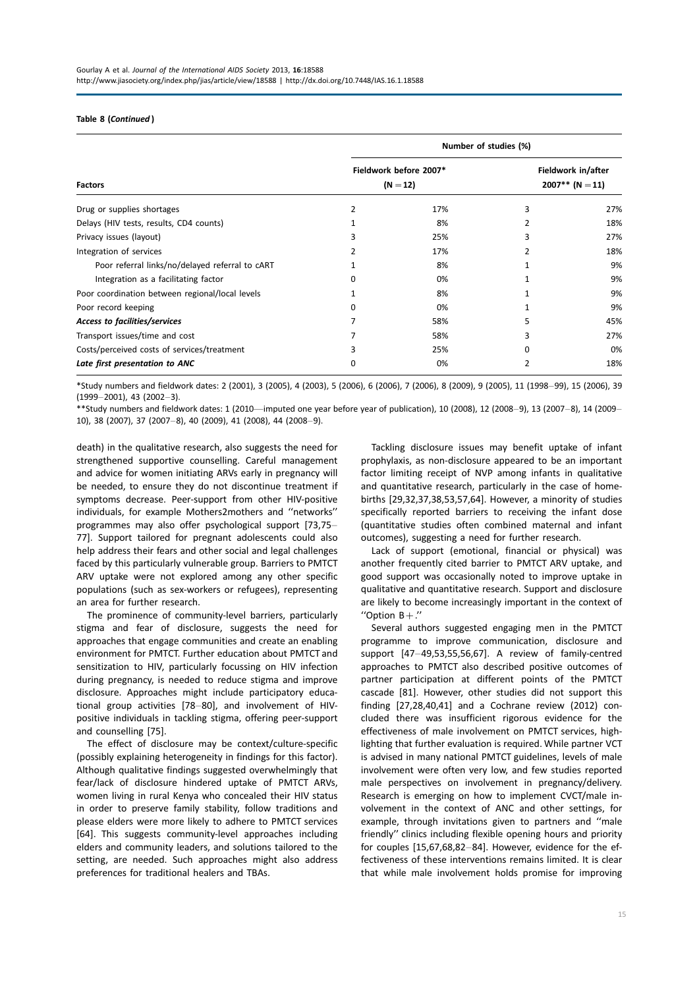### Table 8 (Continued )

| <b>Factors</b><br>Drug or supplies shortages    | Number of studies (%)                |     |                                         |     |
|-------------------------------------------------|--------------------------------------|-----|-----------------------------------------|-----|
|                                                 | Fieldwork before 2007*<br>$(N = 12)$ |     | Fieldwork in/after<br>$2007** (N = 11)$ |     |
|                                                 |                                      | 17% |                                         | 27% |
| Delays (HIV tests, results, CD4 counts)         |                                      | 8%  |                                         | 18% |
| Privacy issues (layout)                         |                                      | 25% |                                         | 27% |
| Integration of services                         |                                      | 17% |                                         | 18% |
| Poor referral links/no/delayed referral to cART |                                      | 8%  |                                         | 9%  |
| Integration as a facilitating factor            |                                      | 0%  |                                         | 9%  |
| Poor coordination between regional/local levels |                                      | 8%  |                                         | 9%  |
| Poor record keeping                             |                                      | 0%  |                                         | 9%  |
| Access to facilities/services                   |                                      | 58% |                                         | 45% |
| Transport issues/time and cost                  |                                      | 58% |                                         | 27% |
| Costs/perceived costs of services/treatment     |                                      | 25% |                                         | 0%  |
| Late first presentation to ANC                  | 0                                    | 0%  |                                         | 18% |

\*Study numbers and fieldwork dates: 2 (2001), 3 (2005), 4 (2003), 5 (2006), 6 (2006), 7 (2006), 8 (2009), 9 (2005), 11 (1998-99), 15 (2006), 39  $(1999-2001)$ , 43  $(2002-3)$ .

 $*$ Study numbers and fieldwork dates: 1 (2010—imputed one year before year of publication), 10 (2008), 12 (2008-9), 13 (2007-8), 14 (2009-10), 38 (2007), 37 (2007-8), 40 (2009), 41 (2008), 44 (2008-9).

death) in the qualitative research, also suggests the need for strengthened supportive counselling. Careful management and advice for women initiating ARVs early in pregnancy will be needed, to ensure they do not discontinue treatment if symptoms decrease. Peer-support from other HIV-positive individuals, for example Mothers2mothers and ''networks'' programmes may also offer psychological support [73,75 77]. Support tailored for pregnant adolescents could also help address their fears and other social and legal challenges faced by this particularly vulnerable group. Barriers to PMTCT ARV uptake were not explored among any other specific populations (such as sex-workers or refugees), representing an area for further research.

The prominence of community-level barriers, particularly stigma and fear of disclosure, suggests the need for approaches that engage communities and create an enabling environment for PMTCT. Further education about PMTCT and sensitization to HIV, particularly focussing on HIV infection during pregnancy, is needed to reduce stigma and improve disclosure. Approaches might include participatory educational group activities [78-80], and involvement of HIVpositive individuals in tackling stigma, offering peer-support and counselling [75].

The effect of disclosure may be context/culture-specific (possibly explaining heterogeneity in findings for this factor). Although qualitative findings suggested overwhelmingly that fear/lack of disclosure hindered uptake of PMTCT ARVs, women living in rural Kenya who concealed their HIV status in order to preserve family stability, follow traditions and please elders were more likely to adhere to PMTCT services [64]. This suggests community-level approaches including elders and community leaders, and solutions tailored to the setting, are needed. Such approaches might also address preferences for traditional healers and TBAs.

Tackling disclosure issues may benefit uptake of infant prophylaxis, as non-disclosure appeared to be an important factor limiting receipt of NVP among infants in qualitative and quantitative research, particularly in the case of homebirths [29,32,37,38,53,57,64]. However, a minority of studies specifically reported barriers to receiving the infant dose (quantitative studies often combined maternal and infant outcomes), suggesting a need for further research.

Lack of support (emotional, financial or physical) was another frequently cited barrier to PMTCT ARV uptake, and good support was occasionally noted to improve uptake in qualitative and quantitative research. Support and disclosure are likely to become increasingly important in the context of "Option  $B+.$ "

Several authors suggested engaging men in the PMTCT programme to improve communication, disclosure and support  $[47-49,53,55,56,67]$ . A review of family-centred approaches to PMTCT also described positive outcomes of partner participation at different points of the PMTCT cascade [81]. However, other studies did not support this finding [27,28,40,41] and a Cochrane review (2012) concluded there was insufficient rigorous evidence for the effectiveness of male involvement on PMTCT services, highlighting that further evaluation is required. While partner VCT is advised in many national PMTCT guidelines, levels of male involvement were often very low, and few studies reported male perspectives on involvement in pregnancy/delivery. Research is emerging on how to implement CVCT/male involvement in the context of ANC and other settings, for example, through invitations given to partners and ''male friendly'' clinics including flexible opening hours and priority for couples  $[15,67,68,82-84]$ . However, evidence for the effectiveness of these interventions remains limited. It is clear that while male involvement holds promise for improving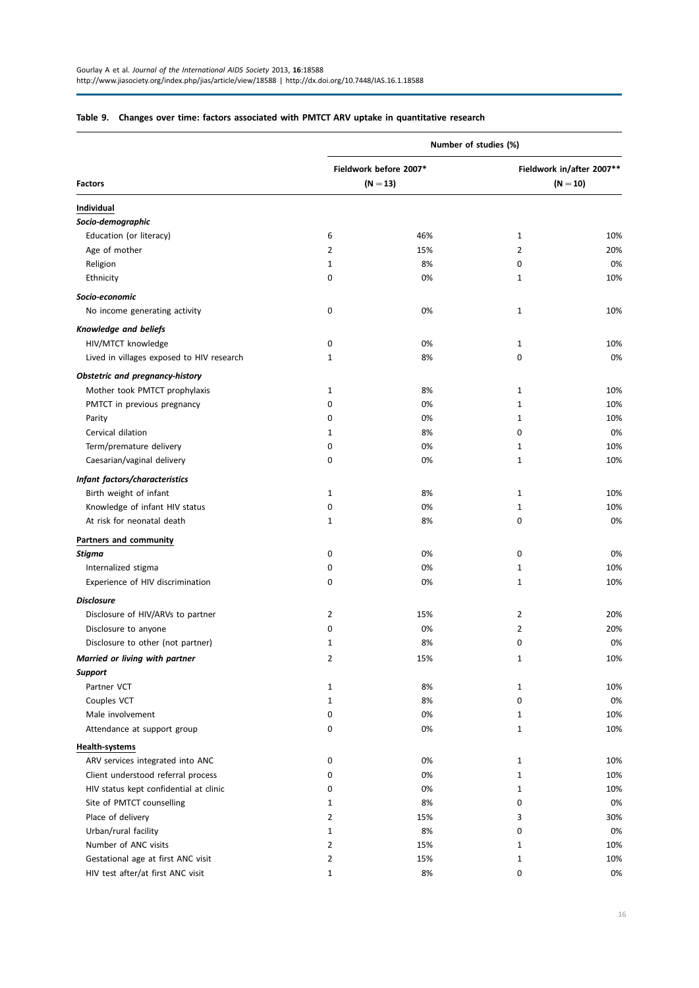# Table 9. Changes over time: factors associated with PMTCT ARV uptake in quantitative research

| <b>Factors</b>                            | Number of studies (%)                |     |                                       |     |
|-------------------------------------------|--------------------------------------|-----|---------------------------------------|-----|
|                                           | Fieldwork before 2007*<br>$(N = 13)$ |     | Fieldwork in/after 2007**<br>$(N=10)$ |     |
| <b>Individual</b>                         |                                      |     |                                       |     |
| Socio-demographic                         |                                      |     |                                       |     |
| Education (or literacy)                   | 6                                    | 46% | 1                                     | 10% |
| Age of mother                             | $\overline{2}$                       | 15% | $\overline{2}$                        | 20% |
| Religion                                  | $\mathbf{1}$                         | 8%  | 0                                     | 0%  |
| Ethnicity                                 | 0                                    | 0%  | 1                                     | 10% |
| Socio-economic                            |                                      |     |                                       |     |
| No income generating activity             | 0                                    | 0%  | 1                                     | 10% |
| Knowledge and beliefs                     |                                      |     |                                       |     |
| HIV/MTCT knowledge                        | 0                                    | 0%  | $\mathbf{1}$                          | 10% |
| Lived in villages exposed to HIV research | 1                                    | 8%  | 0                                     | 0%  |
| Obstetric and pregnancy-history           |                                      |     |                                       |     |
| Mother took PMTCT prophylaxis             | $\mathbf{1}$                         | 8%  | 1                                     | 10% |
| PMTCT in previous pregnancy               | 0                                    | 0%  | 1                                     | 10% |
| Parity                                    | 0                                    | 0%  | 1                                     | 10% |
| Cervical dilation                         | 1                                    | 8%  | 0                                     | 0%  |
| Term/premature delivery                   | 0                                    | 0%  | 1                                     | 10% |
| Caesarian/vaginal delivery                | 0                                    | 0%  | 1                                     | 10% |
| Infant factors/characteristics            |                                      |     |                                       |     |
| Birth weight of infant                    | $\mathbf{1}$                         | 8%  | 1                                     | 10% |
| Knowledge of infant HIV status            | 0                                    | 0%  | 1                                     | 10% |
| At risk for neonatal death                | 1                                    | 8%  | 0                                     | 0%  |
| Partners and community                    |                                      |     |                                       |     |
| Stigma                                    | 0                                    | 0%  | 0                                     | 0%  |
| Internalized stigma                       | 0                                    | 0%  | 1                                     | 10% |
| Experience of HIV discrimination          | 0                                    | 0%  | 1                                     | 10% |
| <b>Disclosure</b>                         |                                      |     |                                       |     |
| Disclosure of HIV/ARVs to partner         | $\overline{2}$                       | 15% | 2                                     | 20% |
| Disclosure to anyone                      | 0                                    | 0%  | $\overline{2}$                        | 20% |
| Disclosure to other (not partner)         | 1                                    | 8%  | 0                                     | 0%  |
| Married or living with partner            | 2                                    | 15% | 1                                     | 10% |
| <b>Support</b>                            |                                      |     |                                       |     |
| Partner VCT                               | $\mathbf{1}$                         | 8%  | 1                                     | 10% |
| Couples VCT                               | $\mathbf{1}$                         | 8%  | 0                                     | 0%  |
| Male involvement                          | 0                                    | 0%  | 1                                     | 10% |
| Attendance at support group               | 0                                    | 0%  | 1                                     | 10% |
| Health-systems                            |                                      |     |                                       |     |
| ARV services integrated into ANC          | 0                                    | 0%  | $\mathbf{1}$                          | 10% |
| Client understood referral process        | 0                                    | 0%  | 1                                     | 10% |
| HIV status kept confidential at clinic    | 0                                    | 0%  | 1                                     | 10% |
| Site of PMTCT counselling                 | 1                                    | 8%  | 0                                     | 0%  |
| Place of delivery                         | $\overline{2}$                       | 15% | 3                                     | 30% |
| Urban/rural facility                      | 1                                    | 8%  | 0                                     | 0%  |
| Number of ANC visits                      | $\overline{2}$                       | 15% | $\mathbf{1}$                          | 10% |
| Gestational age at first ANC visit        | 2                                    | 15% | 1                                     | 10% |
| HIV test after/at first ANC visit         | $\mathbf{1}$                         | 8%  | 0                                     | 0%  |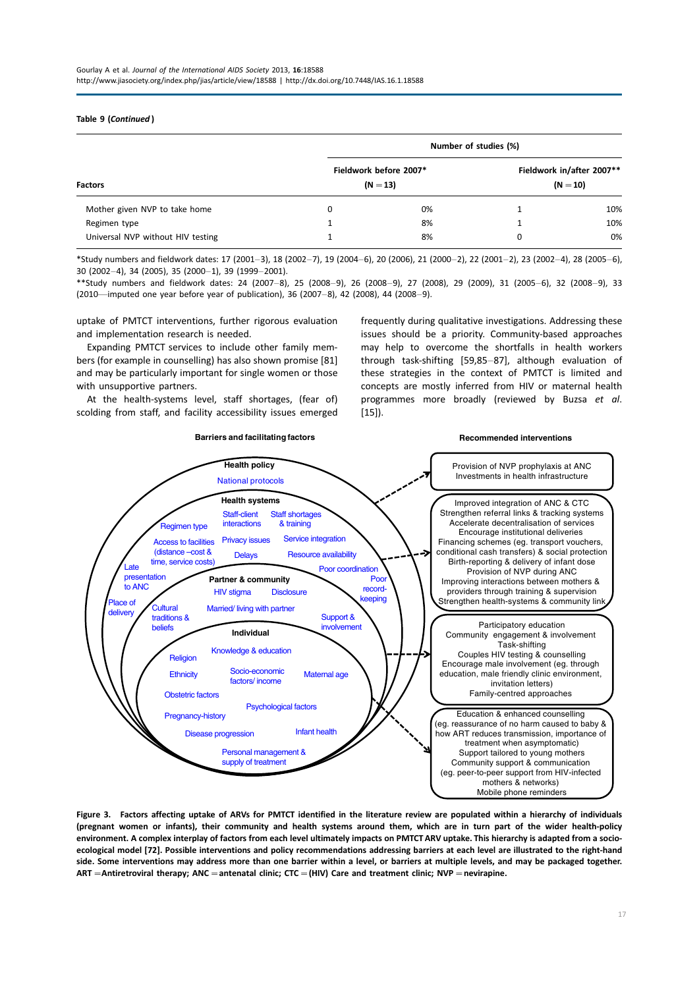# Table 9 (Continued )

| <b>Factors</b><br>Mother given NVP to take home | Number of studies (%)                |    |                                       |     |  |
|-------------------------------------------------|--------------------------------------|----|---------------------------------------|-----|--|
|                                                 | Fieldwork before 2007*<br>$(N = 13)$ |    | Fieldwork in/after 2007**<br>$(N=10)$ |     |  |
|                                                 | 0                                    | 0% |                                       | 10% |  |
| Regimen type                                    |                                      | 8% |                                       | 10% |  |
| Universal NVP without HIV testing               |                                      | 8% | 0                                     | 0%  |  |

\*Study numbers and fieldwork dates: 17 (2001-3), 18 (2002-7), 19 (2004-6), 20 (2006), 21 (2000-2), 22 (2001-2), 23 (2002-4), 28 (2005-6), 30 (2002-4), 34 (2005), 35 (2000-1), 39 (1999-2001).

\*\*Study numbers and fieldwork dates: 24 (2007-8), 25 (2008-9), 26 (2008-9), 27 (2008), 29 (2009), 31 (2005-6), 32 (2008-9), 33  $(2010$ —imputed one year before year of publication), 36  $(2007-8)$ , 42  $(2008)$ , 44  $(2008-9)$ .

uptake of PMTCT interventions, further rigorous evaluation and implementation research is needed.

Expanding PMTCT services to include other family members (for example in counselling) has also shown promise [81] and may be particularly important for single women or those with unsupportive partners.

At the health-systems level, staff shortages, (fear of) scolding from staff, and facility accessibility issues emerged

frequently during qualitative investigations. Addressing these issues should be a priority. Community-based approaches may help to overcome the shortfalls in health workers through task-shifting [59,85-87], although evaluation of these strategies in the context of PMTCT is limited and concepts are mostly inferred from HIV or maternal health programmes more broadly (reviewed by Buzsa et al. [15]).



Figure 3. Factors affecting uptake of ARVs for PMTCT identified in the literature review are populated within a hierarchy of individuals (pregnant women or infants), their community and health systems around them, which are in turn part of the wider health-policy environment. A complex interplay of factors from each level ultimately impacts on PMTCT ARV uptake. This hierarchy is adapted from a socioecological model [72]. Possible interventions and policy recommendations addressing barriers at each level are illustrated to the right-hand side. Some interventions may address more than one barrier within a level, or barriers at multiple levels, and may be packaged together. ART = Antiretroviral therapy; ANC = antenatal clinic; CTC = (HIV) Care and treatment clinic; NVP = nevirapine.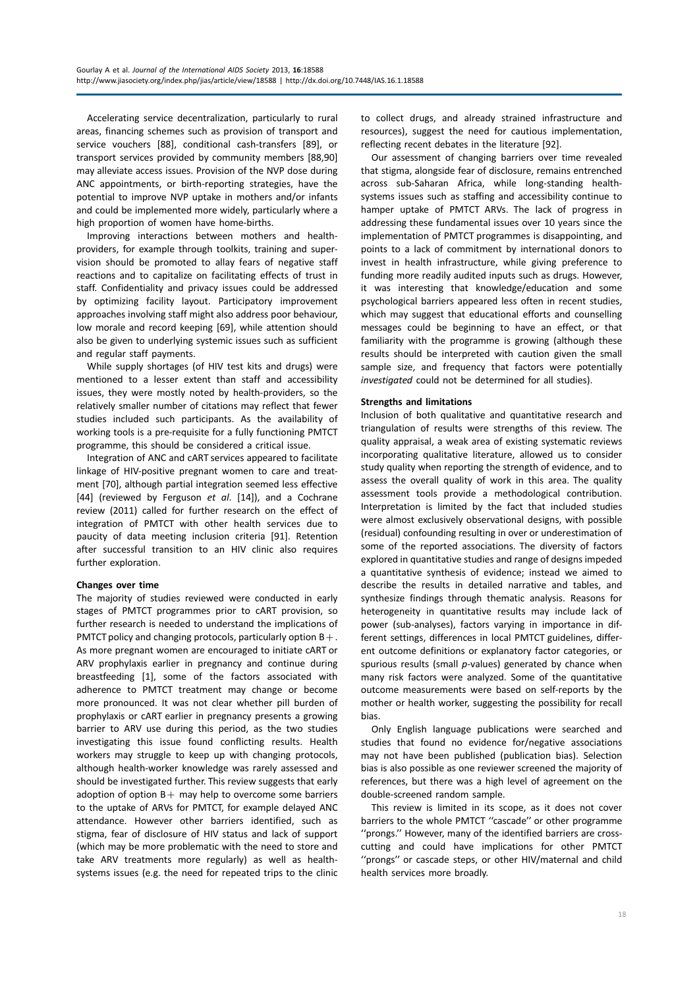Accelerating service decentralization, particularly to rural areas, financing schemes such as provision of transport and [service](http://www.jiasociety.org/index.php/jias/article/view/18588) [vouchers](http://www.jiasociety.org/index.php/jias/article/view/18588) [\[88\],](http://www.jiasociety.org/index.php/jias/article/view/18588) [conditional](http://www.jiasociety.org/index.php/jias/article/view/18588) [cash-trans](http://www.jiasociety.org/index.php/jias/article/view/18588)fers [89], or transport services provided by community members [88,90] may alleviate access issues. Provision of the NVP dose during ANC appointments, or birth-reporting strategies, have the potential to improve NVP uptake in mothers and/or infants and could be implemented more widely, particularly where a high proportion of women have home-births.

Improving interactions between mothers and healthproviders, for example through toolkits, training and supervision should be promoted to allay fears of negative staff reactions and to capitalize on facilitating effects of trust in staff. Confidentiality and privacy issues could be addressed by optimizing facility layout. Participatory improvement approaches involving staff might also address poor behaviour, low morale and record keeping [69], while attention should also be given to underlying systemic issues such as sufficient and regular staff payments.

While supply shortages (of HIV test kits and drugs) were mentioned to a lesser extent than staff and accessibility issues, they were mostly noted by health-providers, so the relatively smaller number of citations may reflect that fewer studies included such participants. As the availability of working tools is a pre-requisite for a fully functioning PMTCT programme, this should be considered a critical issue.

Integration of ANC and cART services appeared to facilitate linkage of HIV-positive pregnant women to care and treatment [70], although partial integration seemed less effective [44] (reviewed by Ferguson et al. [14]), and a Cochrane review (2011) called for further research on the effect of integration of PMTCT with other health services due to paucity of data meeting inclusion criteria [91]. Retention after successful transition to an HIV clinic also requires further exploration.

# Changes over time

The majority of studies reviewed were conducted in early stages of PMTCT programmes prior to cART provision, so further research is needed to understand the implications of PMTCT policy and changing protocols, particularly option  $B +$ . As more pregnant women are encouraged to initiate cART or ARV prophylaxis earlier in pregnancy and continue during breastfeeding [1], some of the factors associated with adherence to PMTCT treatment may change or become more pronounced. It was not clear whether pill burden of prophylaxis or cART earlier in pregnancy presents a growing barrier to ARV use during this period, as the two studies investigating this issue found conflicting results. Health workers may struggle to keep up with changing protocols, although health-worker knowledge was rarely assessed and should be investigated further. This review suggests that early adoption of option  $B+$  may help to overcome some barriers to the uptake of ARVs for PMTCT, for example delayed ANC attendance. However other barriers identified, such as stigma, fear of disclosure of HIV status and lack of support (which may be more problematic with the need to store and take ARV treatments more regularly) as well as healthsystems issues (e.g. the need for repeated trips to the clinic

to collect drugs, and already strained infrastructure and resources), suggest the need for cautious implementation, [reflecting](http://dx.doi.org/10.7448/IAS.16.1.18588) [recen](http://dx.doi.org/10.7448/IAS.16.1.18588)t debates in the literature [92].

Our assessment of changing barriers over time revealed that stigma, alongside fear of disclosure, remains entrenched across sub-Saharan Africa, while long-standing healthsystems issues such as staffing and accessibility continue to hamper uptake of PMTCT ARVs. The lack of progress in addressing these fundamental issues over 10 years since the implementation of PMTCT programmes is disappointing, and points to a lack of commitment by international donors to invest in health infrastructure, while giving preference to funding more readily audited inputs such as drugs. However, it was interesting that knowledge/education and some psychological barriers appeared less often in recent studies, which may suggest that educational efforts and counselling messages could be beginning to have an effect, or that familiarity with the programme is growing (although these results should be interpreted with caution given the small sample size, and frequency that factors were potentially investigated could not be determined for all studies).

### Strengths and limitations

Inclusion of both qualitative and quantitative research and triangulation of results were strengths of this review. The quality appraisal, a weak area of existing systematic reviews incorporating qualitative literature, allowed us to consider study quality when reporting the strength of evidence, and to assess the overall quality of work in this area. The quality assessment tools provide a methodological contribution. Interpretation is limited by the fact that included studies were almost exclusively observational designs, with possible (residual) confounding resulting in over or underestimation of some of the reported associations. The diversity of factors explored in quantitative studies and range of designs impeded a quantitative synthesis of evidence; instead we aimed to describe the results in detailed narrative and tables, and synthesize findings through thematic analysis. Reasons for heterogeneity in quantitative results may include lack of power (sub-analyses), factors varying in importance in different settings, differences in local PMTCT guidelines, different outcome definitions or explanatory factor categories, or spurious results (small  $p$ -values) generated by chance when many risk factors were analyzed. Some of the quantitative outcome measurements were based on self-reports by the mother or health worker, suggesting the possibility for recall bias.

Only English language publications were searched and studies that found no evidence for/negative associations may not have been published (publication bias). Selection bias is also possible as one reviewer screened the majority of references, but there was a high level of agreement on the double-screened random sample.

This review is limited in its scope, as it does not cover barriers to the whole PMTCT ''cascade'' or other programme "prongs." However, many of the identified barriers are crosscutting and could have implications for other PMTCT ''prongs'' or cascade steps, or other HIV/maternal and child health services more broadly.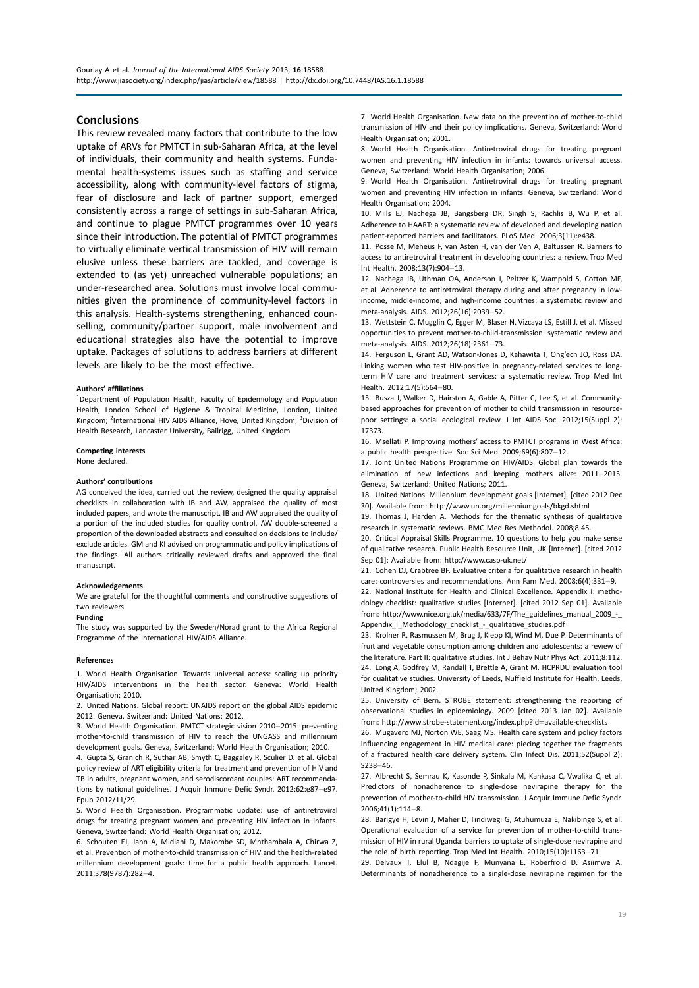# **Conclusions**

[This review revealed many factors that contribu](http://www.jiasociety.org/index.php/jias/article/view/18588)te to the low uptake of ARVs for PMTCT in sub-Saharan Africa, at the level of individuals, their community and health systems. Fundamental health-systems issues such as staffing and service accessibility, along with community-level factors of stigma, fear of disclosure and lack of partner support, emerged consistently across a range of settings in sub-Saharan Africa, and continue to plague PMTCT programmes over 10 years since their introduction. The potential of PMTCT programmes to virtually eliminate vertical transmission of HIV will remain elusive unless these barriers are tackled, and coverage is extended to (as yet) unreached vulnerable populations; an under-researched area. Solutions must involve local communities given the prominence of community-level factors in this analysis. Health-systems strengthening, enhanced counselling, community/partner support, male involvement and educational strategies also have the potential to improve uptake. Packages of solutions to address barriers at different levels are likely to be the most effective.

### Authors' affiliations

<sup>1</sup>Department of Population Health, Faculty of Epidemiology and Population Health, London School of Hygiene & Tropical Medicine, London, United Kingdom; <sup>2</sup>International HIV AIDS Alliance, Hove, United Kingdom; <sup>3</sup>Division of Health Research, Lancaster University, Bailrigg, United Kingdom

### Competing interests

None declared.

### Authors' contributions

AG conceived the idea, carried out the review, designed the quality appraisal checklists in collaboration with IB and AW, appraised the quality of most included papers, and wrote the manuscript. IB and AW appraised the quality of a portion of the included studies for quality control. AW double-screened a proportion of the downloaded abstracts and consulted on decisions to include/ exclude articles. GM and KI advised on programmatic and policy implications of the findings. All authors critically reviewed drafts and approved the final manuscript.

#### Acknowledgements

We are grateful for the thoughtful comments and constructive suggestions of two reviewers.

### Funding

The study was supported by the Sweden/Norad grant to the Africa Regional Programme of the International HIV/AIDS Alliance.

#### References

1. World Health Organisation. Towards universal access: scaling up priority HIV/AIDS interventions in the health sector. Geneva: World Health Organisation; 2010.

2. United Nations. Global report: UNAIDS report on the global AIDS epidemic 2012. Geneva, Switzerland: United Nations; 2012.

3. World Health Organisation. PMTCT strategic vision 2010-2015: preventing mother-to-child transmission of HIV to reach the UNGASS and millennium development goals. Geneva, Switzerland: World Health Organisation; 2010.

4. Gupta S, Granich R, Suthar AB, Smyth C, Baggaley R, Sculier D. et al. Global policy review of ART eligibility criteria for treatment and prevention of HIV and TB in adults, pregnant women, and serodiscordant couples: ART recommendations by national guidelines. J Acquir Immune Defic Syndr. 2012;62:e87-e97. Epub 2012/11/29.

5. World Health Organisation. Programmatic update: use of antiretroviral drugs for treating pregnant women and preventing HIV infection in infants. Geneva, Switzerland: World Health Organisation; 2012.

6. Schouten EJ, Jahn A, Midiani D, Makombe SD, Mnthambala A, Chirwa Z, et al. Prevention of mother-to-child transmission of HIV and the health-related millennium development goals: time for a public health approach. Lancet. 2011;378(9787):282-4.

7. World Health Organisation. New data on the prevention of mother-to-child transmission of HIV and their policy implications. Geneva, Switzerland: World [Health Organisation](http://dx.doi.org/10.7448/IAS.16.1.18588); 2001.

8. World Health Organisation. Antiretroviral drugs for treating pregnant women and preventing HIV infection in infants: towards universal access. Geneva, Switzerland: World Health Organisation; 2006.

9. World Health Organisation. Antiretroviral drugs for treating pregnant women and preventing HIV infection in infants. Geneva, Switzerland: World Health Organisation; 2004.

10. Mills EJ, Nachega JB, Bangsberg DR, Singh S, Rachlis B, Wu P, et al. Adherence to HAART: a systematic review of developed and developing nation patient-reported barriers and facilitators. PLoS Med. 2006;3(11):e438.

11. Posse M, Meheus F, van Asten H, van der Ven A, Baltussen R. Barriers to access to antiretroviral treatment in developing countries: a review. Trop Med Int Health. 2008;13(7):904-13.

12. Nachega JB, Uthman OA, Anderson J, Peltzer K, Wampold S, Cotton MF, et al. Adherence to antiretroviral therapy during and after pregnancy in lowincome, middle-income, and high-income countries: a systematic review and meta-analysis. AIDS. 2012;26(16):2039-52.

13. Wettstein C, Mugglin C, Egger M, Blaser N, Vizcaya LS, Estill J, et al. Missed opportunities to prevent mother-to-child-transmission: systematic review and meta-analysis. AIDS. 2012;26(18):2361-73.

14. Ferguson L, Grant AD, Watson-Jones D, Kahawita T, Ong'ech JO, Ross DA. Linking women who test HIV-positive in pregnancy-related services to longterm HIV care and treatment services: a systematic review. Trop Med Int Health. 2012;17(5):564-80.

15. Busza J, Walker D, Hairston A, Gable A, Pitter C, Lee S, et al. Communitybased approaches for prevention of mother to child transmission in resourcepoor settings: a social ecological review. J Int AIDS Soc. 2012;15(Suppl 2): 17373.

16. Msellati P. Improving mothers' access to PMTCT programs in West Africa: a public health perspective. Soc Sci Med.  $2009;69(6):807-12$ .

17. Joint United Nations Programme on HIV/AIDS. Global plan towards the elimination of new infections and keeping mothers alive: 2011-2015. Geneva, Switzerland: United Nations; 2011.

18. United Nations. Millennium development goals [Internet]. [cited 2012 Dec 30]. Available from: http://www.un.org/millenniumgoals/bkgd.shtml

19. Thomas J, Harden A. Methods for the thematic synthesis of qualitative research in systematic reviews. BMC Med Res Methodol. 2008;8:45.

20. Critical Appraisal Skills Programme. 10 questions to help you make sense of qualitative research. Public Health Resource Unit, UK [Internet]. [cited 2012 Sep 01]; Available from: http://www.casp-uk.net/

21. Cohen DJ, Crabt[ree](http://www.un.org/millenniumgoals/bkgd.shtml) [BF.](http://www.un.org/millenniumgoals/bkgd.shtml) [Evaluative](http://www.un.org/millenniumgoals/bkgd.shtml) [criteria](http://www.un.org/millenniumgoals/bkgd.shtml) [for](http://www.un.org/millenniumgoals/bkgd.shtml) [qualitative](http://www.un.org/millenniumgoals/bkgd.shtml) [research](http://www.un.org/millenniumgoals/bkgd.shtml) in health care: controversies and recommendations. Ann Fam Med. 2008;6(4):331-9.

22. National Institute for Health and Clinical Excellence. Appendix I: methodology checklist: qualitative studies [Internet]. [cited 2012 Sep 01]. Available from: http://www.nice.o[rg.uk/media/633/7F/The\\_](http://www.casp-uk.net/)guidelines\_manual\_2009\_-\_ Appendix\_I\_Methodology\_checklist\_-\_qualitative\_studies.pdf

23. Krolner R, Rasmussen M, Brug J, Klepp KI, Wind M, Due P. Determinants of fruit and vegetable consumption among children and adolescents: a review of the literature. Part II: qualitative studies. Int J Behav Nutr Phys Act. 2011;8:112. 24. L[ong A, Godfrey M, Randall T, Brettle A, Grant M. HCPRDU evaluation tool](http://www.nice.org.uk/media/633/7F/The_guidelines_manual_2009_-_Appendix_I_Methodology_checklist_-_qualitative_studies.pdf) [for qualitative studies. University of Leeds, Nuffield Institute f](http://www.nice.org.uk/media/633/7F/The_guidelines_manual_2009_-_Appendix_I_Methodology_checklist_-_qualitative_studies.pdf)or Health, Leeds, United Kingdom; 2002.

25. University of Bern. STROBE statement: strengthening the reporting of observational studies in epidemiology. 2009 [cited 2013 Jan 02]. Available from: http://www.strobe-statement.org/index.php?id=available-checklists

26. Mugavero MJ, Norton WE, Saag MS. Health care system and policy factors influencing engagement in HIV medical care: piecing together the fragments of a fractured health care delivery system. Clin Infect Dis. 2011;52(Suppl 2):  $S238 - 46.$ 

27. A[lbrecht S, Semrau K, Kasonde P, Sinkala M, Ka](http://www.strobe-statement.org/index.php?id=available-checklists)n[kasa C, Vwalika C, e](http://www.strobe-statement.org/index.php?id=available-checklists)t al. Predictors of nonadherence to single-dose nevirapine therapy for the prevention of mother-to-child HIV transmission. J Acquir Immune Defic Syndr.  $2006;41(1):114-8.$ 

28. Barigye H, Levin J, Maher D, Tindiwegi G, Atuhumuza E, Nakibinge S, et al. Operational evaluation of a service for prevention of mother-to-child transmission of HIV in rural Uganda: barriers to uptake of single-dose nevirapine and the role of birth reporting. Trop Med Int Health.  $2010:15(10):1163-71$ .

29. Delvaux T, Elul B, Ndagije F, Munyana E, Roberfroid D, Asiimwe A. Determinants of nonadherence to a single-dose nevirapine regimen for the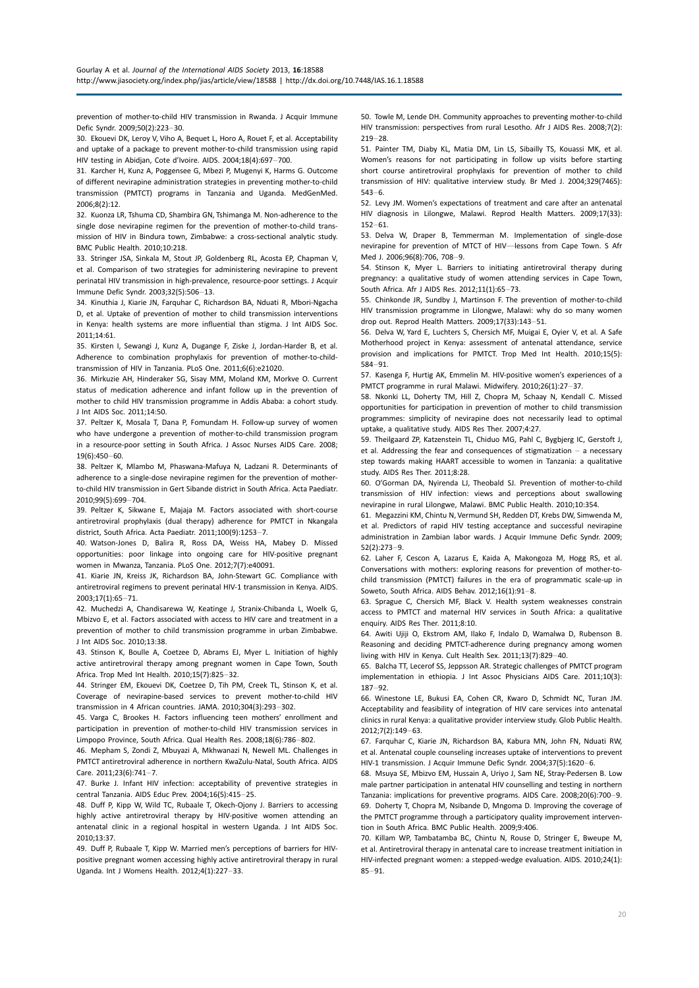prevention of mother-to-child HIV transmission in Rwanda. J Acquir Immune Defic Syndr. 2009:50(2):223-30.

[30. Ekouevi DK, Leroy V, Viho A, Bequet L, Horo A, Rouet F, e](http://www.jiasociety.org/index.php/jias/article/view/18588)t [al. Acceptability](http://dx.doi.org/10.7448/IAS.16.1.18588) and uptake of a package to prevent mother-to-child transmission using rapid HIV testing in Abidjan, Cote d'Ivoire. AIDS. 2004;18(4):697-700.

31. Karcher H, Kunz A, Poggensee G, Mbezi P, Mugenyi K, Harms G. Outcome of different nevirapine administration strategies in preventing mother-to-child transmission (PMTCT) programs in Tanzania and Uganda. MedGenMed. 2006;8(2):12.

32. Kuonza LR, Tshuma CD, Shambira GN, Tshimanga M. Non-adherence to the single dose nevirapine regimen for the prevention of mother-to-child transmission of HIV in Bindura town, Zimbabwe: a cross-sectional analytic study. BMC Public Health. 2010;10:218.

33. Stringer JSA, Sinkala M, Stout JP, Goldenberg RL, Acosta EP, Chapman V, et al. Comparison of two strategies for administering nevirapine to prevent perinatal HIV transmission in high-prevalence, resource-poor settings. J Acquir Immune Defic Syndr. 2003:32(5):506-13.

34. Kinuthia J, Kiarie JN, Farquhar C, Richardson BA, Nduati R, Mbori-Ngacha D, et al. Uptake of prevention of mother to child transmission interventions in Kenya: health systems are more influential than stigma. J Int AIDS Soc.  $2011 \cdot 14 \cdot 61$ 

35. Kirsten I, Sewangi J, Kunz A, Dugange F, Ziske J, Jordan-Harder B, et al. Adherence to combination prophylaxis for prevention of mother-to-childtransmission of HIV in Tanzania. PLoS One. 2011;6(6):e21020.

36. Mirkuzie AH, Hinderaker SG, Sisay MM, Moland KM, Morkve O. Current status of medication adherence and infant follow up in the prevention of mother to child HIV transmission programme in Addis Ababa: a cohort study. J Int AIDS Soc. 2011;14:50.

37. Peltzer K, Mosala T, Dana P, Fomundam H. Follow-up survey of women who have undergone a prevention of mother-to-child transmission program in a resource-poor setting in South Africa. J Assoc Nurses AIDS Care. 2008;  $19(6) \cdot 450 - 60$ 

38. Peltzer K, Mlambo M, Phaswana-Mafuya N, Ladzani R. Determinants of adherence to a single-dose nevirapine regimen for the prevention of motherto-child HIV transmission in Gert Sibande district in South Africa. Acta Paediatr. 2010:99(5):699-704.

39. Peltzer K, Sikwane E, Majaja M. Factors associated with short-course antiretroviral prophylaxis (dual therapy) adherence for PMTCT in Nkangala district, South Africa. Acta Paediatr. 2011;100(9):1253-7.

40. Watson-Jones D, Balira R, Ross DA, Weiss HA, Mabey D. Missed opportunities: poor linkage into ongoing care for HIV-positive pregnant women in Mwanza, Tanzania. PLoS One. 2012;7(7):e40091.

41. Kiarie JN, Kreiss JK, Richardson BA, John-Stewart GC. Compliance with antiretroviral regimens to prevent perinatal HIV-1 transmission in Kenya. AIDS. 2003:17(1):65-71.

42. Muchedzi A, Chandisarewa W, Keatinge J, Stranix-Chibanda L, Woelk G, Mbizvo E, et al. Factors associated with access to HIV care and treatment in a prevention of mother to child transmission programme in urban Zimbabwe. J Int AIDS Soc. 2010;13:38.

43. Stinson K, Boulle A, Coetzee D, Abrams EJ, Myer L. Initiation of highly active antiretroviral therapy among pregnant women in Cape Town, South Africa. Trop Med Int Health. 2010;15(7):825-32.

44. Stringer EM, Ekouevi DK, Coetzee D, Tih PM, Creek TL, Stinson K, et al. Coverage of nevirapine-based services to prevent mother-to-child HIV transmission in 4 African countries. JAMA.  $2010:304(3):293-302$ .

45. Varga C, Brookes H. Factors influencing teen mothers' enrollment and participation in prevention of mother-to-child HIV transmission services in Limpopo Province, South Africa. Qual Health Res. 2008;18(6):786-802.

46. Mepham S, Zondi Z, Mbuyazi A, Mkhwanazi N, Newell ML. Challenges in PMTCT antiretroviral adherence in northern KwaZulu-Natal, South Africa. AIDS Care. 2011:23(6):741-7.

47. Burke J. Infant HIV infection: acceptability of preventive strategies in central Tanzania. AIDS Educ Prev. 2004:16(5):415-25.

48. Duff P, Kipp W, Wild TC, Rubaale T, Okech-Ojony J. Barriers to accessing highly active antiretroviral therapy by HIV-positive women attending an antenatal clinic in a regional hospital in western Uganda. J Int AIDS Soc. 2010;13:37.

49. Duff P, Rubaale T, Kipp W. Married men's perceptions of barriers for HIVpositive pregnant women accessing highly active antiretroviral therapy in rural Uganda. Int J Womens Health. 2012:4(1):227-33.

50. Towle M, Lende DH. Community approaches to preventing mother-to-child HIV transmission: perspectives from rural Lesotho. Afr J AIDS Res. 2008;7(2): 219-28

51. Painter TM, Diaby KL, Matia DM, Lin LS, Sibailly TS, Kouassi MK, et al. Women's reasons for not participating in follow up visits before starting short course antiretroviral prophylaxis for prevention of mother to child transmission of HIV: qualitative interview study. Br Med J. 2004;329(7465):  $543 - 6$ 

52. Levy JM. Women's expectations of treatment and care after an antenatal HIV diagnosis in Lilongwe, Malawi. Reprod Health Matters. 2009;17(33):  $152 - 61.$ 

53. Delva W, Draper B, Temmerman M. Implementation of single-dose nevirapine for prevention of MTCT of HIV-lessons from Cape Town. S Afr Med J. 2006;96(8):706, 708-9.

54. Stinson K, Myer L. Barriers to initiating antiretroviral therapy during pregnancy: a qualitative study of women attending services in Cape Town, South Africa. Afr J AIDS Res. 2012:11(1):65-73.

55. Chinkonde JR, Sundby J, Martinson F. The prevention of mother-to-child HIV transmission programme in Lilongwe, Malawi: why do so many women drop out. Reprod Health Matters.  $2009;17(33):143-51$ .

56. Delva W, Yard E, Luchters S, Chersich MF, Muigai E, Oyier V, et al. A Safe Motherhood project in Kenya: assessment of antenatal attendance, service provision and implications for PMTCT. Trop Med Int Health. 2010;15(5): 584-91.

57. Kasenga F, Hurtig AK, Emmelin M. HIV-positive women's experiences of a PMTCT programme in rural Malawi. Midwifery. 2010;26(1):27-37.

58. Nkonki LL, Doherty TM, Hill Z, Chopra M, Schaay N, Kendall C. Missed opportunities for participation in prevention of mother to child transmission programmes: simplicity of nevirapine does not necessarily lead to optimal uptake, a qualitative study. AIDS Res Ther. 2007;4:27.

59. Theilgaard ZP, Katzenstein TL, Chiduo MG, Pahl C, Bygbjerg IC, Gerstoft J, et al. Addressing the fear and consequences of stigmatization  $-$  a necessary step towards making HAART accessible to women in Tanzania: a qualitative study. AIDS Res Ther. 2011;8:28.

60. O'Gorman DA, Nyirenda LJ, Theobald SJ. Prevention of mother-to-child transmission of HIV infection: views and perceptions about swallowing nevirapine in rural Lilongwe, Malawi. BMC Public Health. 2010;10:354.

61. Megazzini KM, Chintu N, Vermund SH, Redden DT, Krebs DW, Simwenda M, et al. Predictors of rapid HIV testing acceptance and successful nevirapine administration in Zambian labor wards. J Acquir Immune Defic Syndr. 2009;  $52(2):273-9.$ 

62. Laher F, Cescon A, Lazarus E, Kaida A, Makongoza M, Hogg RS, et al. Conversations with mothers: exploring reasons for prevention of mother-tochild transmission (PMTCT) failures in the era of programmatic scale-up in Soweto, South Africa. AIDS Behav.  $2012:16(1):91-8$ .

63. Sprague C, Chersich MF, Black V. Health system weaknesses constrain access to PMTCT and maternal HIV services in South Africa: a qualitative enquiry. AIDS Res Ther. 2011;8:10.

64. Awiti Ujiji O, Ekstrom AM, Ilako F, Indalo D, Wamalwa D, Rubenson B. Reasoning and deciding PMTCT-adherence during pregnancy among women living with HIV in Kenya. Cult Health Sex.  $2011;13(7):829-40$ .

65. Balcha TT, Lecerof SS, Jeppsson AR. Strategic challenges of PMTCT program implementation in ethiopia. J Int Assoc Physicians AIDS Care. 2011;10(3): 187-92.

66. Winestone LE, Bukusi EA, Cohen CR, Kwaro D, Schmidt NC, Turan JM. Acceptability and feasibility of integration of HIV care services into antenatal clinics in rural Kenya: a qualitative provider interview study. Glob Public Health. 2012:7(2):149-63.

67. Farquhar C, Kiarie JN, Richardson BA, Kabura MN, John FN, Nduati RW, et al. Antenatal couple counseling increases uptake of interventions to prevent HIV-1 transmission. J Acquir Immune Defic Syndr. 2004;37(5):1620-6.

68. Msuya SE, Mbizvo EM, Hussain A, Uriyo J, Sam NE, Stray-Pedersen B. Low male partner participation in antenatal HIV counselling and testing in northern Tanzania: implications for preventive programs. AIDS Care. 2008;20(6):700-9. 69. Doherty T, Chopra M, Nsibande D, Mngoma D. Improving the coverage of the PMTCT programme through a participatory quality improvement intervention in South Africa. BMC Public Health. 2009;9:406.

70. Killam WP, Tambatamba BC, Chintu N, Rouse D, Stringer E, Bweupe M, et al. Antiretroviral therapy in antenatal care to increase treatment initiation in HIV-infected pregnant women: a stepped-wedge evaluation. AIDS. 2010;24(1): 85-91.